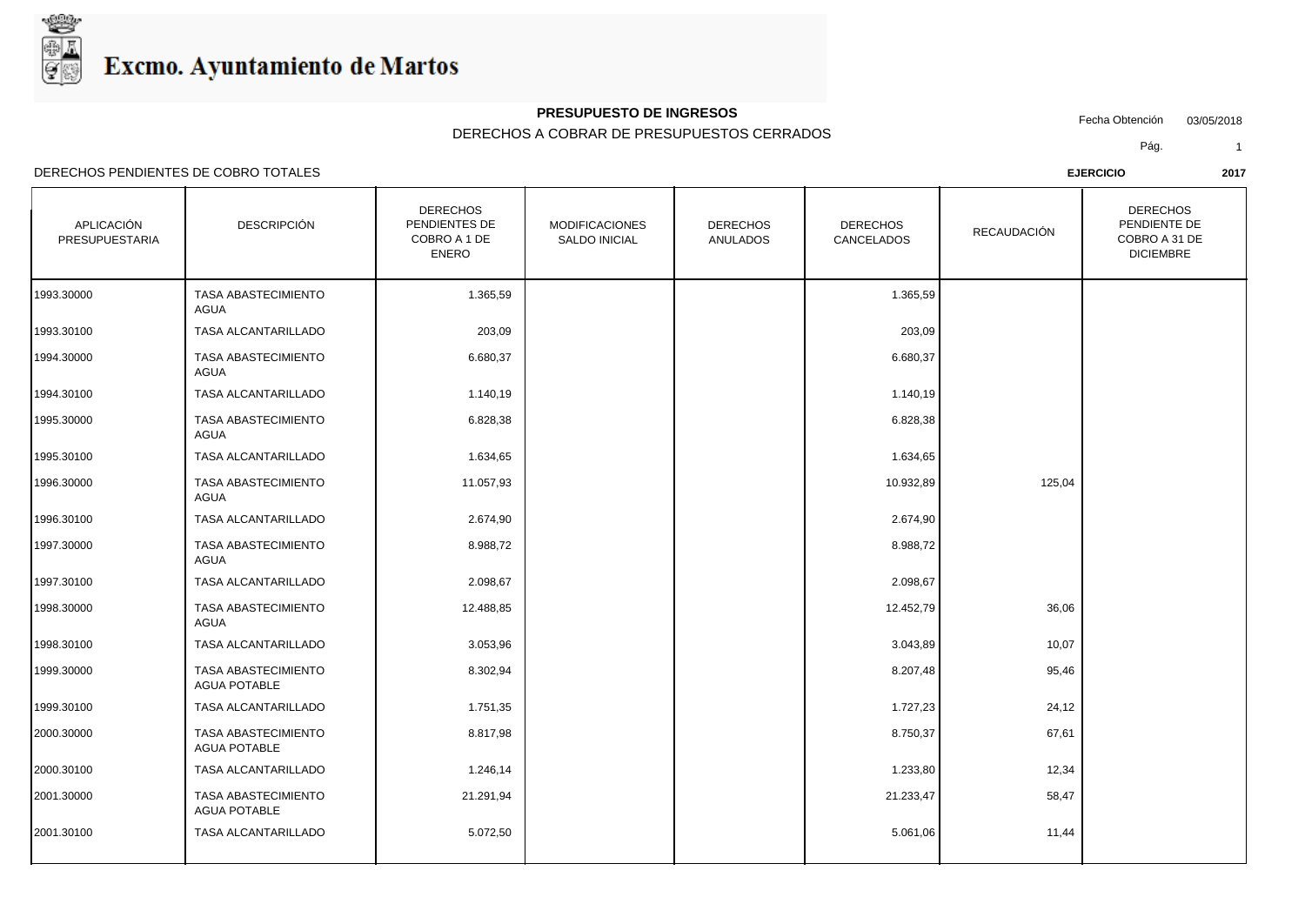

DERECHOS

#### **PRESUPUESTO DE INGRESOS**

### DERECHOS A COBRAR DE PRESUPUESTOS CERRADOS

Fecha Obtención 03/05/2018

DERECHOS

Pág. 1

DERECHOS PENDIENTES DE COBRO TOTALES **EJERCICIO 2017**

AGUA POTABLE

| APLICACIÓN<br>PRESUPUESTARIA | <b>DESCRIPCIÓN</b>                         | PENDIENTES DE<br>COBRO A 1 DE<br><b>ENERO</b> | <b>MODIFICACIONES</b><br><b>SALDO INICIAL</b> | <b>DERECHOS</b><br><b>ANULADOS</b> | <b>DERECHOS</b><br>CANCELADOS | <b>RECAUDACIÓN</b> | PENDIENTE DE<br>COBRO A 31 DE<br><b>DICIEMBRE</b> |
|------------------------------|--------------------------------------------|-----------------------------------------------|-----------------------------------------------|------------------------------------|-------------------------------|--------------------|---------------------------------------------------|
| 1993.30000                   | <b>TASA ABASTECIMIENTO</b><br><b>AGUA</b>  | 1.365,59                                      |                                               |                                    | 1.365,59                      |                    |                                                   |
| 1993.30100                   | TASA ALCANTARILLADO                        | 203,09                                        |                                               |                                    | 203,09                        |                    |                                                   |
| 1994.30000                   | <b>TASA ABASTECIMIENTO</b><br><b>AGUA</b>  | 6.680,37                                      |                                               |                                    | 6.680,37                      |                    |                                                   |
| 1994.30100                   | TASA ALCANTARILLADO                        | 1.140,19                                      |                                               |                                    | 1.140,19                      |                    |                                                   |
| 1995.30000                   | <b>TASA ABASTECIMIENTO</b><br><b>AGUA</b>  | 6.828,38                                      |                                               |                                    | 6.828,38                      |                    |                                                   |
| 1995.30100                   | <b>TASA ALCANTARILLADO</b>                 | 1.634,65                                      |                                               |                                    | 1.634,65                      |                    |                                                   |
| 1996.30000                   | <b>TASA ABASTECIMIENTO</b><br>AGUA         | 11.057,93                                     |                                               |                                    | 10.932,89                     | 125,04             |                                                   |
| 1996.30100                   | <b>TASA ALCANTARILLADO</b>                 | 2.674,90                                      |                                               |                                    | 2.674,90                      |                    |                                                   |
| 1997.30000                   | TASA ABASTECIMIENTO<br><b>AGUA</b>         | 8.988,72                                      |                                               |                                    | 8.988,72                      |                    |                                                   |
| 1997.30100                   | TASA ALCANTARILLADO                        | 2.098,67                                      |                                               |                                    | 2.098,67                      |                    |                                                   |
| 1998.30000                   | TASA ABASTECIMIENTO<br><b>AGUA</b>         | 12.488,85                                     |                                               |                                    | 12.452,79                     | 36,06              |                                                   |
| 1998.30100                   | TASA ALCANTARILLADO                        | 3.053,96                                      |                                               |                                    | 3.043,89                      | 10,07              |                                                   |
| 1999.30000                   | TASA ABASTECIMIENTO<br><b>AGUA POTABLE</b> | 8.302,94                                      |                                               |                                    | 8.207,48                      | 95,46              |                                                   |
| 1999.30100                   | TASA ALCANTARILLADO                        | 1.751,35                                      |                                               |                                    | 1.727,23                      | 24,12              |                                                   |
| 2000.30000                   | TASA ABASTECIMIENTO<br><b>AGUA POTABLE</b> | 8.817,98                                      |                                               |                                    | 8.750,37                      | 67,61              |                                                   |
| 2000.30100                   | <b>TASA ALCANTARILLADO</b>                 | 1.246,14                                      |                                               |                                    | 1.233,80                      | 12,34              |                                                   |
| 2001.30000                   | TASA ABASTECIMIENTO                        | 21.291,94                                     |                                               |                                    | 21.233,47                     | 58,47              |                                                   |

2001.30100 TASA ALCANTARILLADO 5.072,50 5.061,06 11,44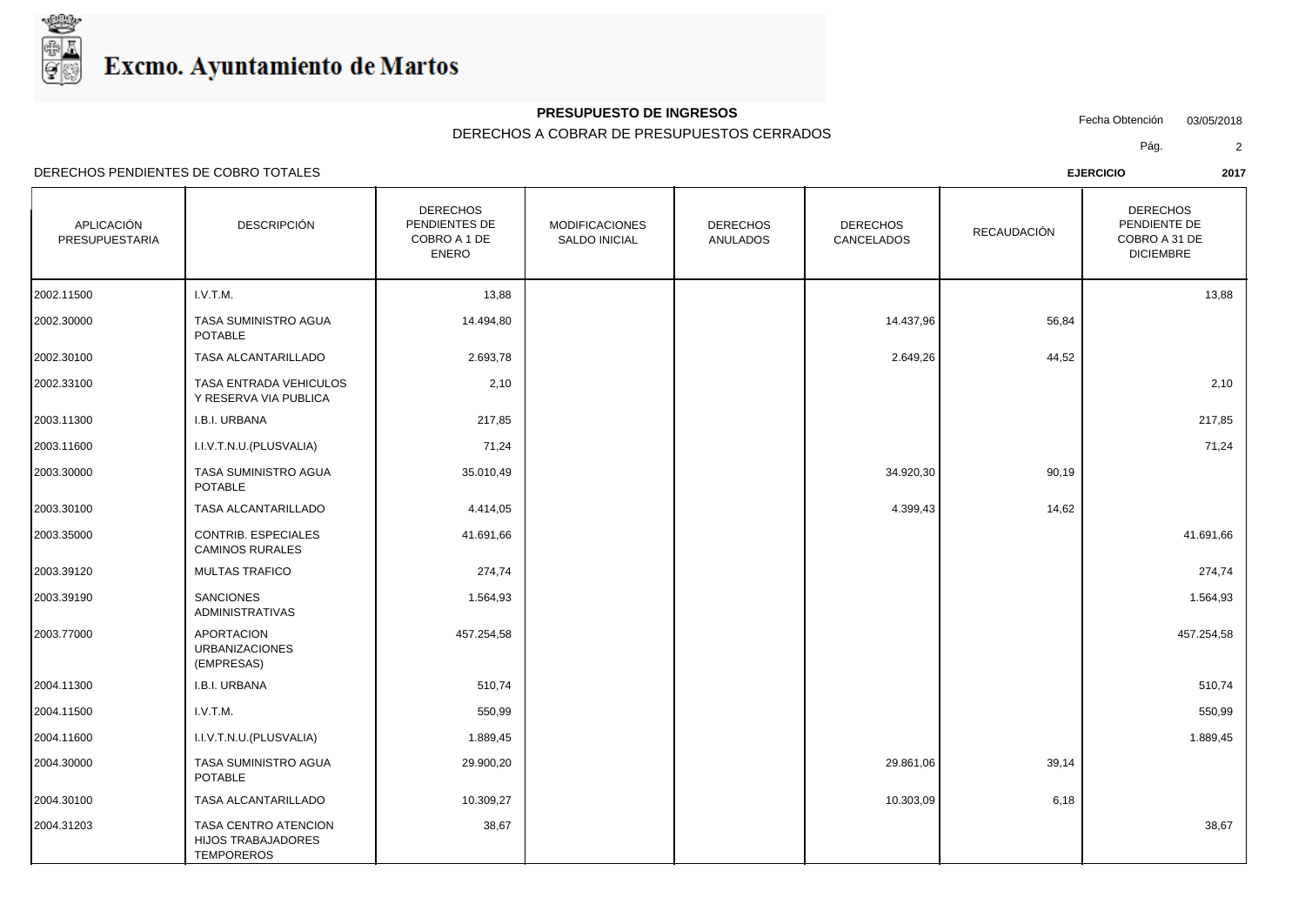

## **PRESUPUESTO DE INGRESOS**

DERECHOS A COBRAR DE PRESUPUESTOS CERRADOS

Fecha Obtención 03/05/2018

Pág. 2

| APLICACIÓN<br>PRESUPUESTARIA | <b>DESCRIPCIÓN</b>                                              | <b>DERECHOS</b><br>PENDIENTES DE<br>COBRO A 1 DE<br><b>ENERO</b> | <b>MODIFICACIONES</b><br><b>SALDO INICIAL</b> | <b>DERECHOS</b><br><b>ANULADOS</b> | <b>DERECHOS</b><br>CANCELADOS | RECAUDACIÓN | <b>DERECHOS</b><br>PENDIENTE DE<br>COBRO A 31 DE<br><b>DICIEMBRE</b> |
|------------------------------|-----------------------------------------------------------------|------------------------------------------------------------------|-----------------------------------------------|------------------------------------|-------------------------------|-------------|----------------------------------------------------------------------|
| 2002.11500                   | I.V.T.M.                                                        | 13,88                                                            |                                               |                                    |                               |             | 13,88                                                                |
| 2002.30000                   | TASA SUMINISTRO AGUA<br><b>POTABLE</b>                          | 14.494,80                                                        |                                               |                                    | 14.437,96                     | 56,84       |                                                                      |
| 2002.30100                   | TASA ALCANTARILLADO                                             | 2.693,78                                                         |                                               |                                    | 2.649,26                      | 44,52       |                                                                      |
| 2002.33100                   | TASA ENTRADA VEHICULOS<br>Y RESERVA VIA PUBLICA                 | 2,10                                                             |                                               |                                    |                               |             | 2,10                                                                 |
| 2003.11300                   | I.B.I. URBANA                                                   | 217,85                                                           |                                               |                                    |                               |             | 217,85                                                               |
| 2003.11600                   | I.I.V.T.N.U.(PLUSVALIA)                                         | 71,24                                                            |                                               |                                    |                               |             | 71,24                                                                |
| 2003.30000                   | TASA SUMINISTRO AGUA<br><b>POTABLE</b>                          | 35.010,49                                                        |                                               |                                    | 34.920,30                     | 90,19       |                                                                      |
| 2003.30100                   | TASA ALCANTARILLADO                                             | 4.414,05                                                         |                                               |                                    | 4.399,43                      | 14,62       |                                                                      |
| 2003.35000                   | CONTRIB. ESPECIALES<br><b>CAMINOS RURALES</b>                   | 41.691,66                                                        |                                               |                                    |                               |             | 41.691,66                                                            |
| 2003.39120                   | <b>MULTAS TRAFICO</b>                                           | 274,74                                                           |                                               |                                    |                               |             | 274,74                                                               |
| 2003.39190                   | <b>SANCIONES</b><br><b>ADMINISTRATIVAS</b>                      | 1.564,93                                                         |                                               |                                    |                               |             | 1.564,93                                                             |
| 2003.77000                   | <b>APORTACION</b><br><b>URBANIZACIONES</b><br>(EMPRESAS)        | 457.254,58                                                       |                                               |                                    |                               |             | 457.254,58                                                           |
| 2004.11300                   | I.B.I. URBANA                                                   | 510,74                                                           |                                               |                                    |                               |             | 510,74                                                               |
| 2004.11500                   | I.V.T.M.                                                        | 550,99                                                           |                                               |                                    |                               |             | 550,99                                                               |
| 2004.11600                   | I.I.V.T.N.U. (PLUSVALIA)                                        | 1.889,45                                                         |                                               |                                    |                               |             | 1.889,45                                                             |
| 2004.30000                   | TASA SUMINISTRO AGUA<br><b>POTABLE</b>                          | 29.900,20                                                        |                                               |                                    | 29.861,06                     | 39,14       |                                                                      |
| 2004.30100                   | TASA ALCANTARILLADO                                             | 10.309,27                                                        |                                               |                                    | 10.303,09                     | 6,18        |                                                                      |
| 2004.31203                   | TASA CENTRO ATENCION<br>HIJOS TRABAJADORES<br><b>TEMPOREROS</b> | 38,67                                                            |                                               |                                    |                               |             | 38,67                                                                |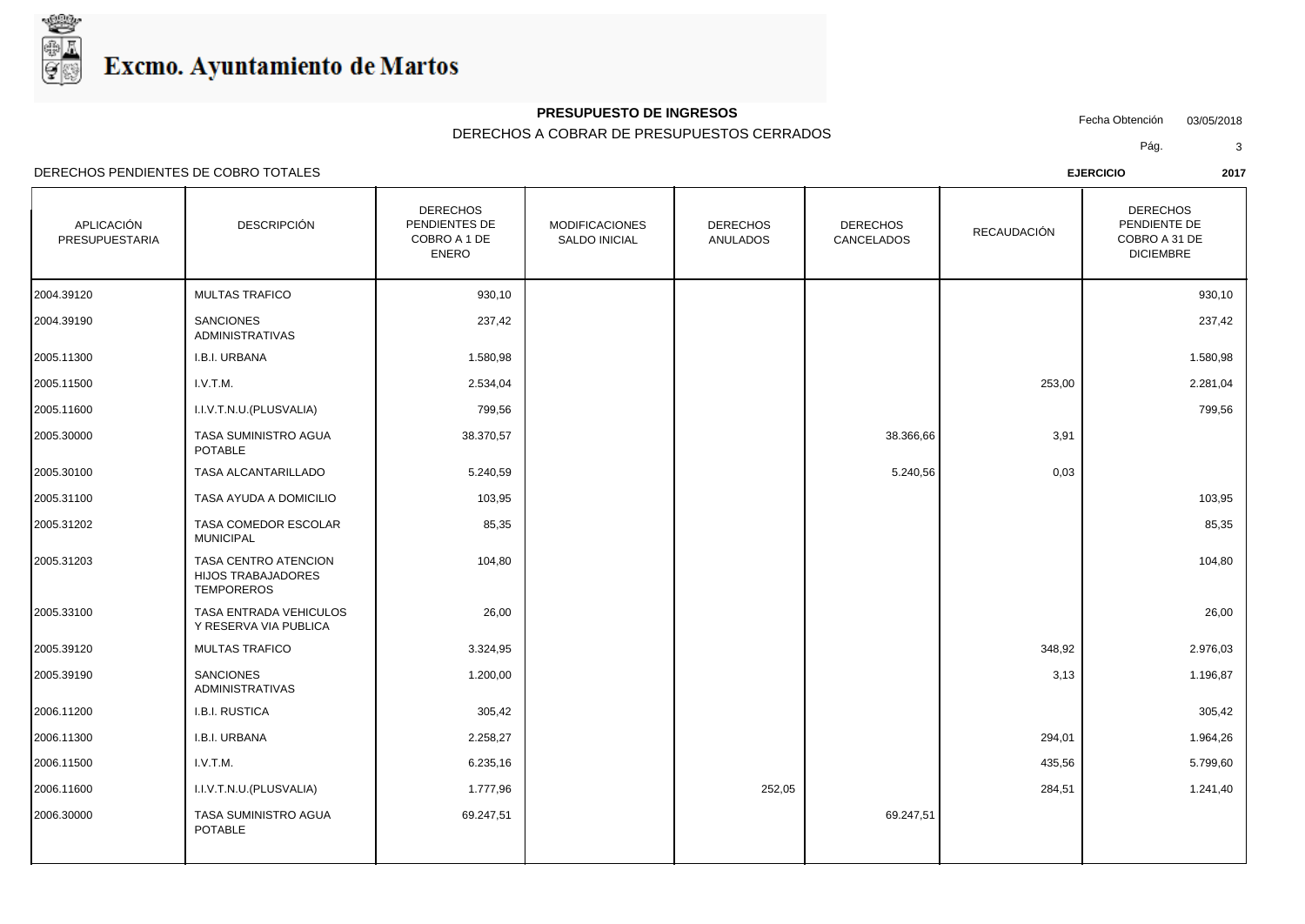

### **PRESUPUESTO DE INGRESOS**

DERECHOS A COBRAR DE PRESUPUESTOS CERRADOS

Fecha Obtención 03/05/2018

Pág. 3

| APLICACIÓN<br><b>PRESUPUESTARIA</b> | <b>DESCRIPCIÓN</b>                                                     | <b>DERECHOS</b><br>PENDIENTES DE<br>COBRO A 1 DE<br><b>ENERO</b> | <b>MODIFICACIONES</b><br>SALDO INICIAL | <b>DERECHOS</b><br><b>ANULADOS</b> | <b>DERECHOS</b><br>CANCELADOS | RECAUDACIÓN | <b>DERECHOS</b><br>PENDIENTE DE<br>COBRO A 31 DE<br><b>DICIEMBRE</b> |
|-------------------------------------|------------------------------------------------------------------------|------------------------------------------------------------------|----------------------------------------|------------------------------------|-------------------------------|-------------|----------------------------------------------------------------------|
| 2004.39120                          | <b>MULTAS TRAFICO</b>                                                  | 930,10                                                           |                                        |                                    |                               |             | 930,10                                                               |
| 2004.39190                          | <b>SANCIONES</b><br><b>ADMINISTRATIVAS</b>                             | 237,42                                                           |                                        |                                    |                               |             | 237,42                                                               |
| 2005.11300                          | I.B.I. URBANA                                                          | 1.580,98                                                         |                                        |                                    |                               |             | 1.580,98                                                             |
| 2005.11500                          | I.V.T.M.                                                               | 2.534,04                                                         |                                        |                                    |                               | 253,00      | 2.281,04                                                             |
| 2005.11600                          | I.I.V.T.N.U.(PLUSVALIA)                                                | 799,56                                                           |                                        |                                    |                               |             | 799,56                                                               |
| 2005.30000                          | TASA SUMINISTRO AGUA<br><b>POTABLE</b>                                 | 38.370,57                                                        |                                        |                                    | 38.366,66                     | 3,91        |                                                                      |
| 2005.30100                          | TASA ALCANTARILLADO                                                    | 5.240,59                                                         |                                        |                                    | 5.240,56                      | 0,03        |                                                                      |
| 2005.31100                          | TASA AYUDA A DOMICILIO                                                 | 103,95                                                           |                                        |                                    |                               |             | 103,95                                                               |
| 2005.31202                          | TASA COMEDOR ESCOLAR<br><b>MUNICIPAL</b>                               | 85,35                                                            |                                        |                                    |                               |             | 85,35                                                                |
| 2005.31203                          | TASA CENTRO ATENCION<br><b>HIJOS TRABAJADORES</b><br><b>TEMPOREROS</b> | 104,80                                                           |                                        |                                    |                               |             | 104,80                                                               |
| 2005.33100                          | TASA ENTRADA VEHICULOS<br>Y RESERVA VIA PUBLICA                        | 26,00                                                            |                                        |                                    |                               |             | 26,00                                                                |
| 2005.39120                          | MULTAS TRAFICO                                                         | 3.324,95                                                         |                                        |                                    |                               | 348,92      | 2.976,03                                                             |
| 2005.39190                          | <b>SANCIONES</b><br><b>ADMINISTRATIVAS</b>                             | 1.200,00                                                         |                                        |                                    |                               | 3,13        | 1.196,87                                                             |
| 2006.11200                          | I.B.I. RUSTICA                                                         | 305,42                                                           |                                        |                                    |                               |             | 305,42                                                               |
| 2006.11300                          | I.B.I. URBANA                                                          | 2.258,27                                                         |                                        |                                    |                               | 294,01      | 1.964,26                                                             |
| 2006.11500                          | I.V.T.M.                                                               | 6.235,16                                                         |                                        |                                    |                               | 435,56      | 5.799,60                                                             |
| 2006.11600                          | I.I.V.T.N.U. (PLUSVALIA)                                               | 1.777,96                                                         |                                        | 252,05                             |                               | 284,51      | 1.241,40                                                             |
| 2006.30000                          | TASA SUMINISTRO AGUA<br><b>POTABLE</b>                                 | 69.247,51                                                        |                                        |                                    | 69.247,51                     |             |                                                                      |
|                                     |                                                                        |                                                                  |                                        |                                    |                               |             |                                                                      |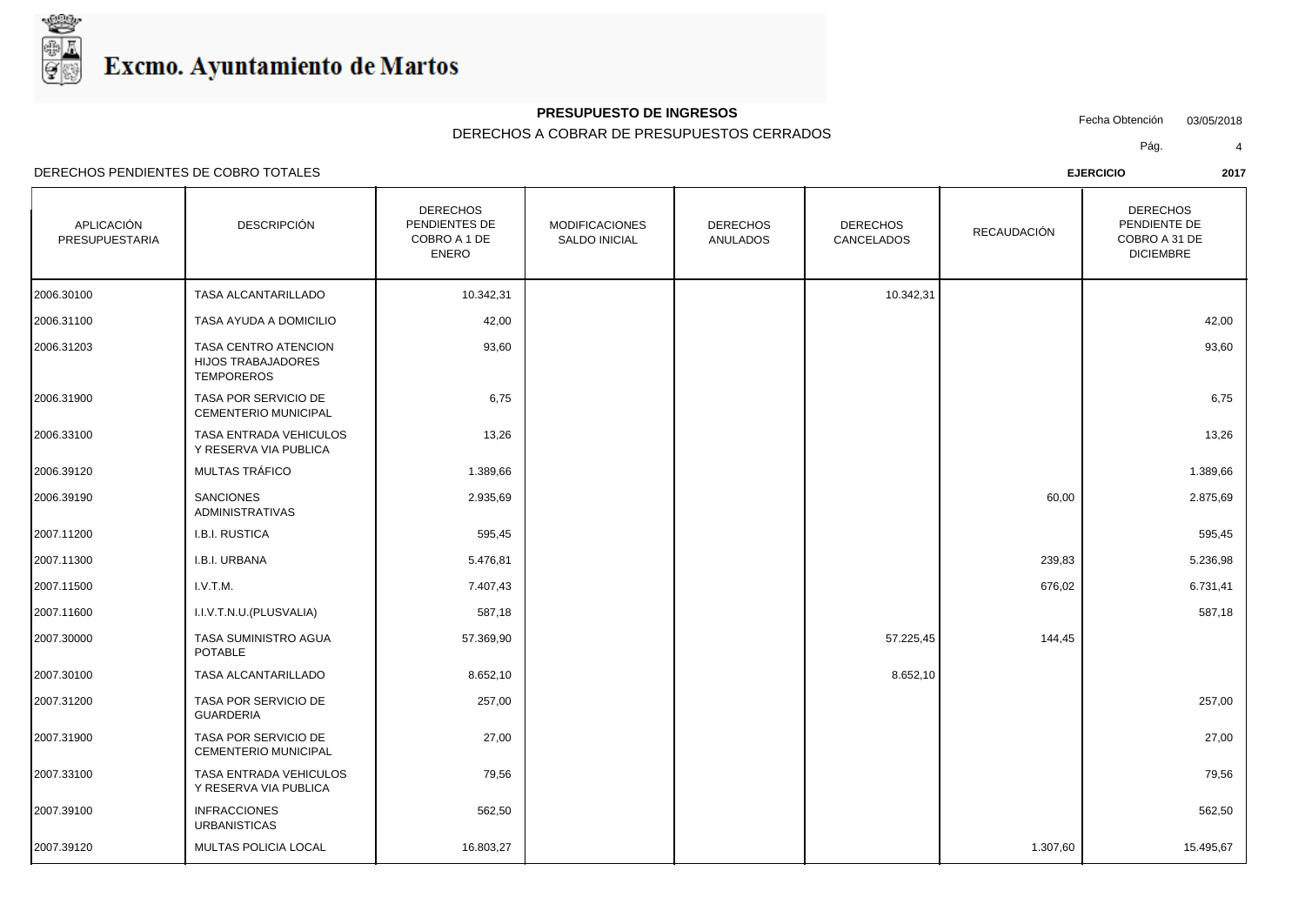

#### **PRESUPUESTO DE INGRESOS**

#### DERECHOS A COBRAR DE PRESUPUESTOS CERRADOS

Fecha Obtención 03/05/2018

Pág. 4

DERECHOS PENDIENTES DE COBRO TOTALES **EJERCICIO 2017**

| APLICACIÓN<br>PRESUPUESTARIA | <b>DESCRIPCIÓN</b>                                                     | <b>DERECHOS</b><br>PENDIENTES DE<br>COBRO A 1 DE<br><b>ENERO</b> | <b>MODIFICACIONES</b><br><b>SALDO INICIAL</b> | <b>DERECHOS</b><br><b>ANULADOS</b> | <b>DERECHOS</b><br>CANCELADOS | RECAUDACIÓN | <b>DERECHOS</b><br>PENDIENTE DE<br>COBRO A 31 DE<br><b>DICIEMBRE</b> |
|------------------------------|------------------------------------------------------------------------|------------------------------------------------------------------|-----------------------------------------------|------------------------------------|-------------------------------|-------------|----------------------------------------------------------------------|
| 2006.30100                   | TASA ALCANTARILLADO                                                    | 10.342,31                                                        |                                               |                                    | 10.342,31                     |             |                                                                      |
| 2006.31100                   | TASA AYUDA A DOMICILIO                                                 | 42,00                                                            |                                               |                                    |                               |             | 42,00                                                                |
| 2006.31203                   | TASA CENTRO ATENCION<br><b>HIJOS TRABAJADORES</b><br><b>TEMPOREROS</b> | 93,60                                                            |                                               |                                    |                               |             | 93,60                                                                |
| 2006.31900                   | TASA POR SERVICIO DE<br>CEMENTERIO MUNICIPAL                           | 6,75                                                             |                                               |                                    |                               |             | 6,75                                                                 |
| 2006.33100                   | TASA ENTRADA VEHICULOS<br>Y RESERVA VIA PUBLICA                        | 13,26                                                            |                                               |                                    |                               |             | 13,26                                                                |
| 2006.39120                   | MULTAS TRÁFICO                                                         | 1.389,66                                                         |                                               |                                    |                               |             | 1.389,66                                                             |
| 2006.39190                   | <b>SANCIONES</b><br><b>ADMINISTRATIVAS</b>                             | 2.935,69                                                         |                                               |                                    |                               | 60,00       | 2.875,69                                                             |
| 2007.11200                   | I.B.I. RUSTICA                                                         | 595,45                                                           |                                               |                                    |                               |             | 595,45                                                               |
| 2007.11300                   | I.B.I. URBANA                                                          | 5.476,81                                                         |                                               |                                    |                               | 239,83      | 5.236,98                                                             |
| 2007.11500                   | I.V.T.M.                                                               | 7.407,43                                                         |                                               |                                    |                               | 676,02      | 6.731,41                                                             |
| 2007.11600                   | I.I.V.T.N.U.(PLUSVALIA)                                                | 587,18                                                           |                                               |                                    |                               |             | 587,18                                                               |
| 2007.30000                   | TASA SUMINISTRO AGUA<br><b>POTABLE</b>                                 | 57.369,90                                                        |                                               |                                    | 57.225,45                     | 144,45      |                                                                      |
| 2007.30100                   | <b>TASA ALCANTARILLADO</b>                                             | 8.652,10                                                         |                                               |                                    | 8.652,10                      |             |                                                                      |

| 2007.31200 | TASA POR SERVICIO DE<br>GUARDERIA                   | 257,00    |  |          | 257,00    |  |
|------------|-----------------------------------------------------|-----------|--|----------|-----------|--|
| 2007.31900 | TASA POR SERVICIO DE<br><b>CEMENTERIO MUNICIPAL</b> | 27,00     |  |          | 27,00     |  |
| 2007.33100 | TASA ENTRADA VEHICULOS<br>Y RESERVA VIA PUBLICA     | 79,56     |  |          | 79,56     |  |
| 2007.39100 | <b>INFRACCIONES</b><br><b>URBANISTICAS</b>          | 562,50    |  |          | 562,50    |  |
| 2007.39120 | MULTAS POLICIA LOCAL                                | 16.803,27 |  | 1.307,60 | 15.495,67 |  |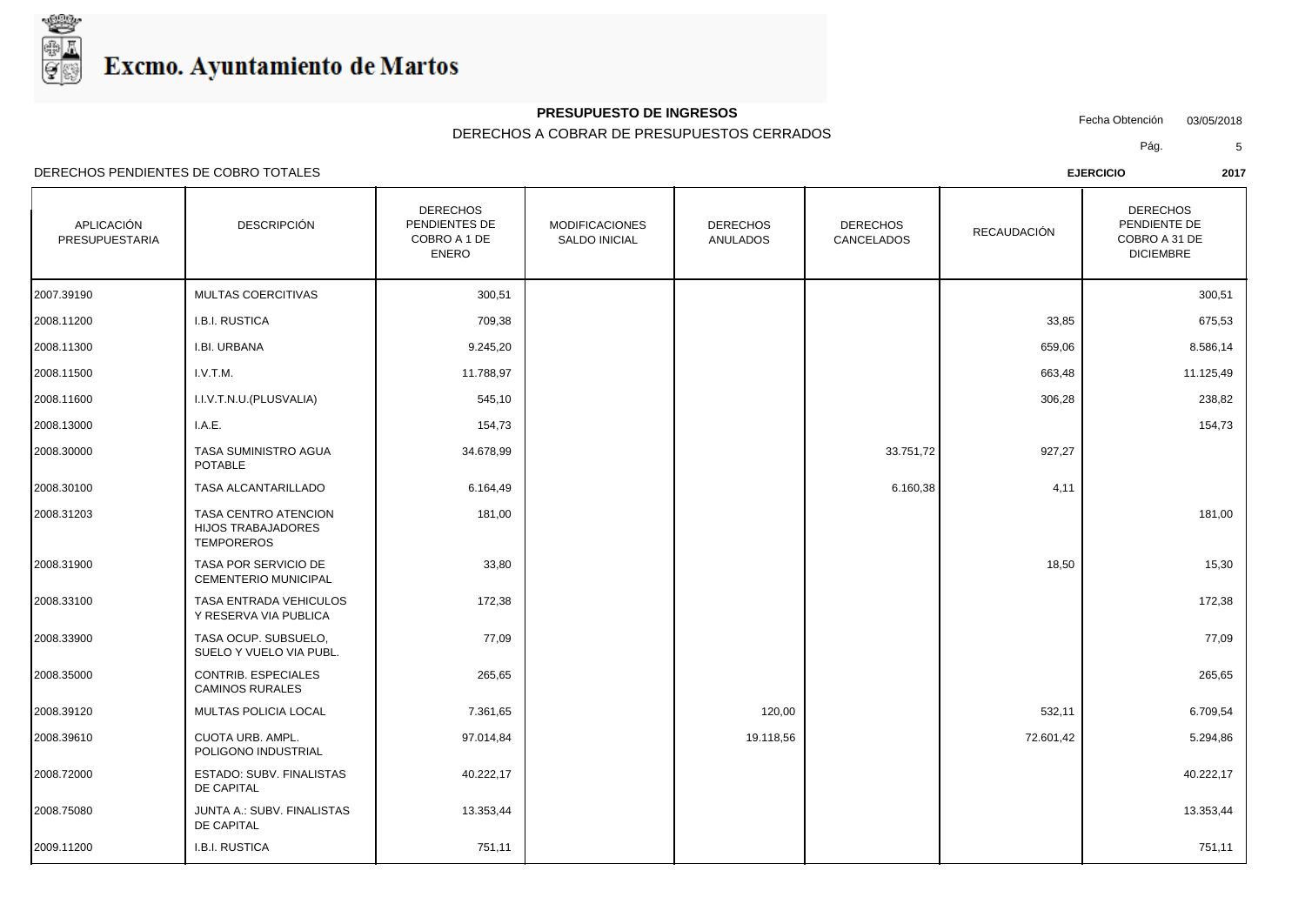

#### **PRESUPUESTO DE INGRESOS**

DERECHOS A COBRAR DE PRESUPUESTOS CERRADOS

Fecha Obtención 03/05/2018

**I** 

Pág. 5

DERECHOS PENDIENTES DE COBRO TOTALES **EJERCICIO 2017**

DE CAPITAL

DE CAPITAL

| APLICACIÓN<br>PRESUPUESTARIA | <b>DESCRIPCIÓN</b>                                                     | <b>DERECHOS</b><br>PENDIENTES DE<br>COBRO A 1 DE<br>ENERO | <b>MODIFICACIONES</b><br><b>SALDO INICIAL</b> | <b>DERECHOS</b><br><b>ANULADOS</b> | <b>DERECHOS</b><br>CANCELADOS | RECAUDACIÓN | <b>DERECHOS</b><br>PENDIENTE DE<br>COBRO A 31 DE<br><b>DICIEMBRE</b> |
|------------------------------|------------------------------------------------------------------------|-----------------------------------------------------------|-----------------------------------------------|------------------------------------|-------------------------------|-------------|----------------------------------------------------------------------|
| 2007.39190                   | MULTAS COERCITIVAS                                                     | 300,51                                                    |                                               |                                    |                               |             | 300,51                                                               |
| 2008.11200                   | I.B.I. RUSTICA                                                         | 709,38                                                    |                                               |                                    |                               | 33,85       | 675,53                                                               |
| 2008.11300                   | I.BI. URBANA                                                           | 9.245,20                                                  |                                               |                                    |                               | 659,06      | 8.586,14                                                             |
| 2008.11500                   | I.V.T.M.                                                               | 11.788,97                                                 |                                               |                                    |                               | 663,48      | 11.125,49                                                            |
| 2008.11600                   | I.I.V.T.N.U.(PLUSVALIA)                                                | 545,10                                                    |                                               |                                    |                               | 306,28      | 238,82                                                               |
| 2008.13000                   | I.A.E.                                                                 | 154,73                                                    |                                               |                                    |                               |             | 154,73                                                               |
| 2008.30000                   | TASA SUMINISTRO AGUA<br>POTABLE                                        | 34.678,99                                                 |                                               |                                    | 33.751,72                     | 927,27      |                                                                      |
| 2008.30100                   | TASA ALCANTARILLADO                                                    | 6.164,49                                                  |                                               |                                    | 6.160,38                      | 4,11        |                                                                      |
| 2008.31203                   | TASA CENTRO ATENCION<br><b>HIJOS TRABAJADORES</b><br><b>TEMPOREROS</b> | 181,00                                                    |                                               |                                    |                               |             | 181,00                                                               |
| 2008.31900                   | <b>TASA POR SERVICIO DE</b>                                            | 33.80                                                     |                                               |                                    |                               | 18.50       | 15.30                                                                |

| 172,38   |        |  |
|----------|--------|--|
| 77,09    |        |  |
| 265,65   |        |  |
| 7.361,65 | 120,00 |  |

JUNTA A.: SUBV. FINALISTAS 13.353,44 2008.75080 13.353,44

2009.11200 I.B.I. RUSTICA 751,11 751,11

| 2008.30100 | TASA ALCANTARILLADO                                                    | 6.164,49 |  | 6.160,38 | 4,11  |        |  |
|------------|------------------------------------------------------------------------|----------|--|----------|-------|--------|--|
| 2008.31203 | TASA CENTRO ATENCION<br><b>HIJOS TRABAJADORES</b><br><b>TEMPOREROS</b> | 181,00   |  |          |       | 181,00 |  |
| 2008.31900 | TASA POR SERVICIO DE<br><b>CEMENTERIO MUNICIPAL</b>                    | 33,80    |  |          | 18,50 | 15,30  |  |
| 2008 33100 | TASA ENTRADA VEHICULOS                                                 | 172 38   |  |          |       | 17238  |  |

| ∠ບບບ.ບ ⊢ວບບ | TAYAT YA YEN YIVIY DE<br><b>CEMENTERIO MUNICIPAL</b> | ິບບ,ບບ    |           | טט,טו     | טט,טו     |  |
|-------------|------------------------------------------------------|-----------|-----------|-----------|-----------|--|
| 2008.33100  | TASA ENTRADA VEHICULOS<br>Y RESERVA VIA PUBLICA      | 172,38    |           |           | 172,38    |  |
| 2008.33900  | TASA OCUP. SUBSUELO,<br>SUELO Y VUELO VIA PUBL.      | 77,09     |           |           | 77,09     |  |
| 2008.35000  | <b>CONTRIB. ESPECIALES</b><br><b>CAMINOS RURALES</b> | 265,65    |           |           | 265,65    |  |
| 2008.39120  | MULTAS POLICIA LOCAL                                 | 7.361,65  | 120,00    | 532,11    | 6.709,54  |  |
| 2008.39610  | CUOTA URB. AMPL.<br>POLIGONO INDUSTRIAL              | 97.014,84 | 19.118,56 | 72.601,42 | 5.294,86  |  |
| 2008.72000  | ESTADO: SUBV. FINALISTAS                             | 40.222,17 |           |           | 40.222,17 |  |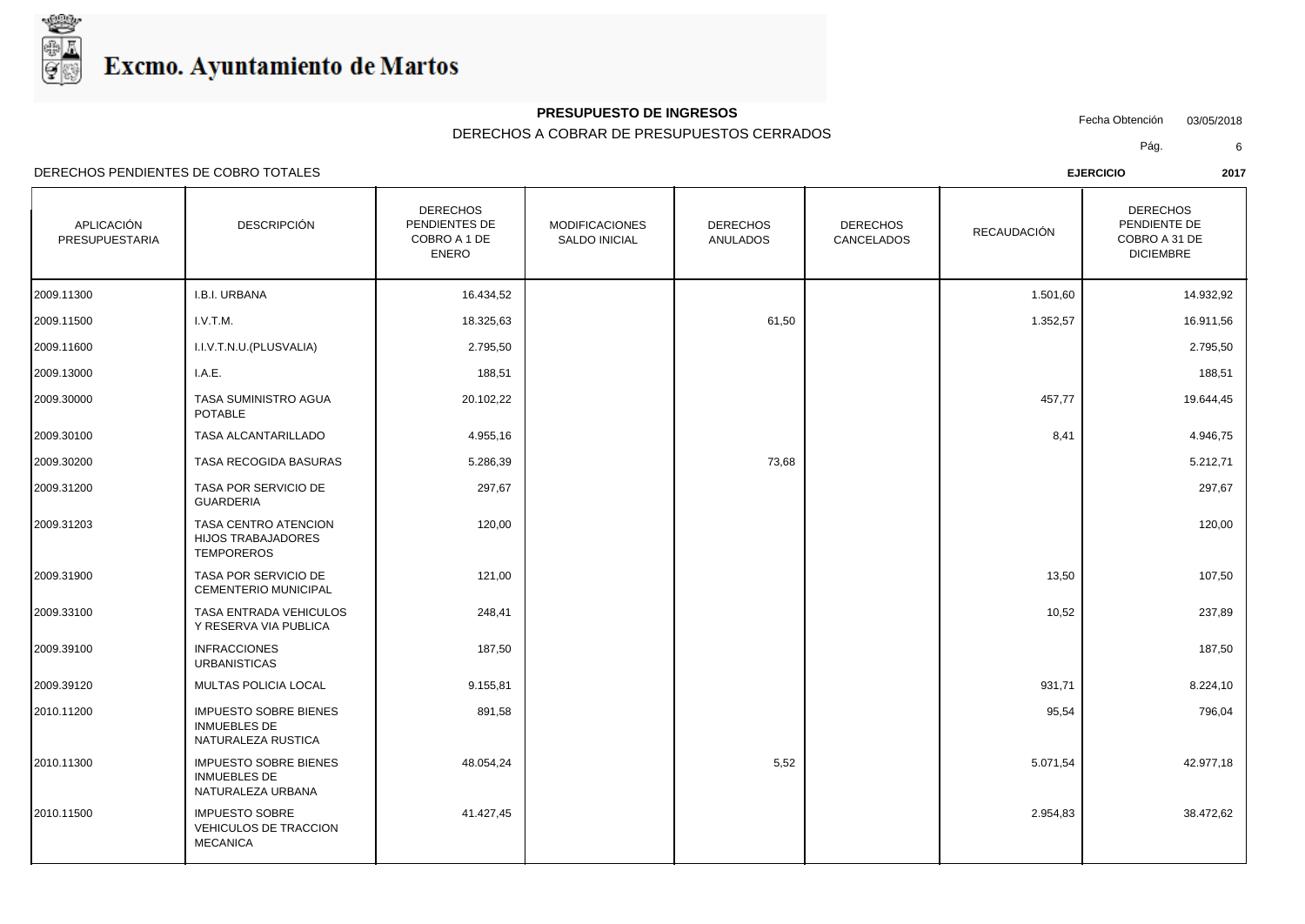

## **PRESUPUESTO DE INGRESOS**

### DERECHOS A COBRAR DE PRESUPUESTOS CERRADOS

Fecha Obtención 03/05/2018

Pág. 6

| <b>APLICACIÓN</b><br><b>PRESUPUESTARIA</b> | DESCRIPCIÓN                                                               | <b>DERECHOS</b><br>PENDIENTES DE<br>COBRO A 1 DE<br><b>ENERO</b> | <b>MODIFICACIONES</b><br>SALDO INICIAL | <b>DERECHOS</b><br>ANULADOS | <b>DERECHOS</b><br>CANCELADOS | RECAUDACIÓN | <b>DERECHOS</b><br>PENDIENTE DE<br>COBRO A 31 DE<br><b>DICIEMBRE</b> |
|--------------------------------------------|---------------------------------------------------------------------------|------------------------------------------------------------------|----------------------------------------|-----------------------------|-------------------------------|-------------|----------------------------------------------------------------------|
| 2009.11300                                 | I.B.I. URBANA                                                             | 16.434,52                                                        |                                        |                             |                               | 1.501,60    | 14.932,92                                                            |
| 2009.11500                                 | I.V.T.M.                                                                  | 18.325,63                                                        |                                        | 61,50                       |                               | 1.352,57    | 16.911,56                                                            |
| 2009.11600                                 | I.I.V.T.N.U.(PLUSVALIA)                                                   | 2.795,50                                                         |                                        |                             |                               |             | 2.795,50                                                             |
| 2009.13000                                 | I.A.E.                                                                    | 188,51                                                           |                                        |                             |                               |             | 188,51                                                               |
| 2009.30000                                 | TASA SUMINISTRO AGUA<br><b>POTABLE</b>                                    | 20.102,22                                                        |                                        |                             |                               | 457,77      | 19.644,45                                                            |
| 2009.30100                                 | TASA ALCANTARILLADO                                                       | 4.955,16                                                         |                                        |                             |                               | 8,41        | 4.946,75                                                             |
| 2009.30200                                 | TASA RECOGIDA BASURAS                                                     | 5.286,39                                                         |                                        | 73,68                       |                               |             | 5.212,71                                                             |
| 2009.31200                                 | TASA POR SERVICIO DE<br><b>GUARDERIA</b>                                  | 297,67                                                           |                                        |                             |                               |             | 297,67                                                               |
| 2009.31203                                 | TASA CENTRO ATENCION<br><b>HIJOS TRABAJADORES</b><br><b>TEMPOREROS</b>    | 120,00                                                           |                                        |                             |                               |             | 120,00                                                               |
| 2009.31900                                 | <b>TASA POR SERVICIO DE</b><br><b>CEMENTERIO MUNICIPAL</b>                | 121,00                                                           |                                        |                             |                               | 13,50       | 107,50                                                               |
| 2009.33100                                 | TASA ENTRADA VEHICULOS<br>Y RESERVA VIA PUBLICA                           | 248,41                                                           |                                        |                             |                               | 10,52       | 237,89                                                               |
| 2009.39100                                 | <b>INFRACCIONES</b><br><b>URBANISTICAS</b>                                | 187,50                                                           |                                        |                             |                               |             | 187,50                                                               |
| 2009.39120                                 | MULTAS POLICIA LOCAL                                                      | 9.155,81                                                         |                                        |                             |                               | 931,71      | 8.224,10                                                             |
| 2010.11200                                 | <b>IMPUESTO SOBRE BIENES</b><br><b>INMUEBLES DE</b><br>NATURALEZA RUSTICA | 891,58                                                           |                                        |                             |                               | 95,54       | 796,04                                                               |
| 2010.11300                                 | <b>IMPUESTO SOBRE BIENES</b><br><b>INMUEBLES DE</b><br>NATURALEZA URBANA  | 48.054,24                                                        |                                        | 5,52                        |                               | 5.071,54    | 42.977,18                                                            |
| 2010.11500                                 | <b>IMPUESTO SOBRE</b><br><b>VEHICULOS DE TRACCION</b><br><b>MECANICA</b>  | 41.427,45                                                        |                                        |                             |                               | 2.954,83    | 38.472,62                                                            |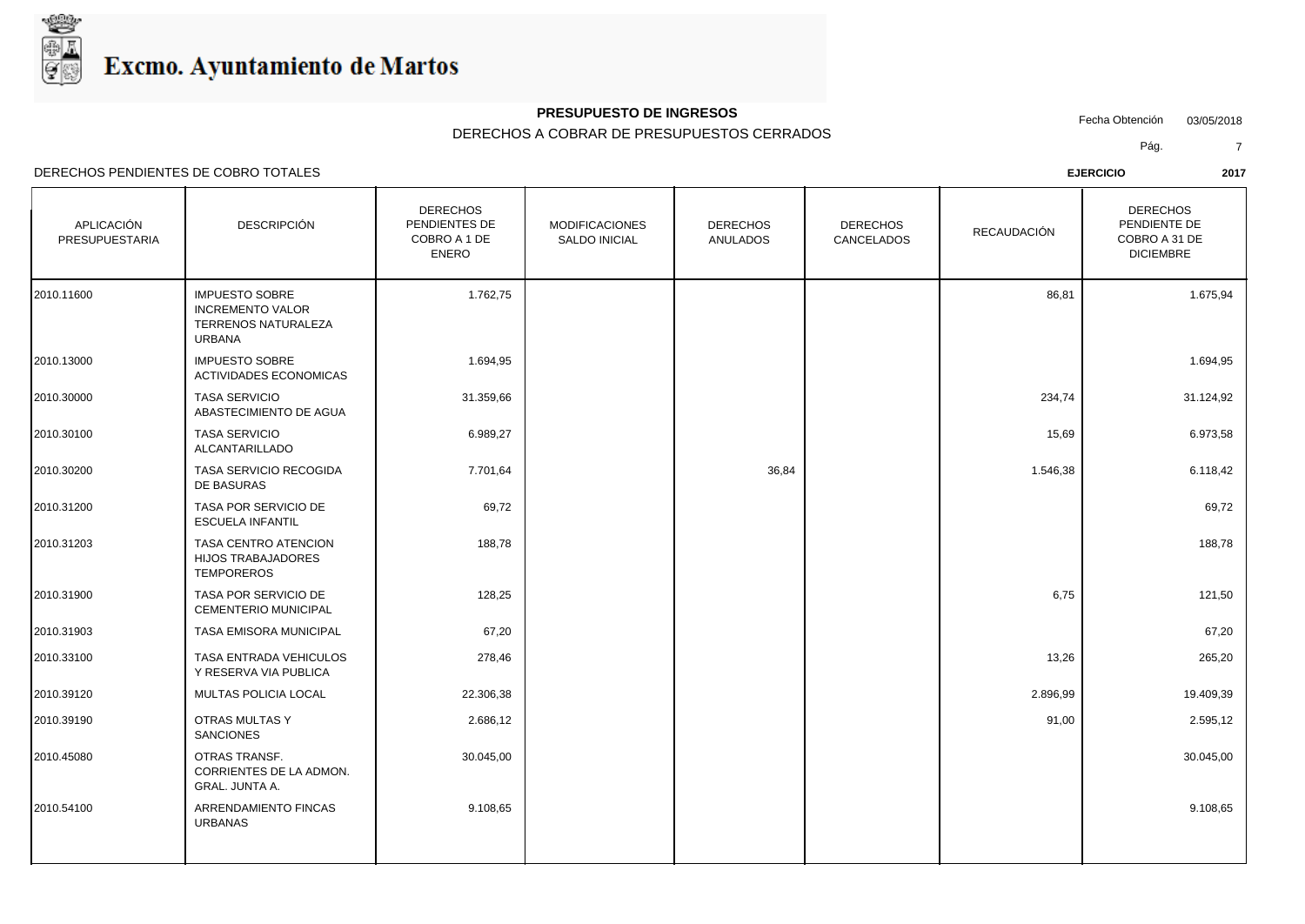

## **PRESUPUESTO DE INGRESOS**

### DERECHOS A COBRAR DE PRESUPUESTOS CERRADOS

Fecha Obtención 03/05/2018

Pág. 7

| APLICACIÓN<br>PRESUPUESTARIA | <b>DESCRIPCIÓN</b>                                                                       | <b>DERECHOS</b><br>PENDIENTES DE<br>COBRO A 1 DE<br><b>ENERO</b> | <b>MODIFICACIONES</b><br>SALDO INICIAL | <b>DERECHOS</b><br><b>ANULADOS</b> | <b>DERECHOS</b><br>CANCELADOS | <b>RECAUDACIÓN</b> | <b>DERECHOS</b><br>PENDIENTE DE<br>COBRO A 31 DE<br><b>DICIEMBRE</b> |
|------------------------------|------------------------------------------------------------------------------------------|------------------------------------------------------------------|----------------------------------------|------------------------------------|-------------------------------|--------------------|----------------------------------------------------------------------|
| 2010.11600                   | <b>IMPUESTO SOBRE</b><br><b>INCREMENTO VALOR</b><br>TERRENOS NATURALEZA<br><b>URBANA</b> | 1.762,75                                                         |                                        |                                    |                               | 86,81              | 1.675,94                                                             |
| 2010.13000                   | <b>IMPUESTO SOBRE</b><br><b>ACTIVIDADES ECONOMICAS</b>                                   | 1.694,95                                                         |                                        |                                    |                               |                    | 1.694,95                                                             |
| 2010.30000                   | <b>TASA SERVICIO</b><br>ABASTECIMIENTO DE AGUA                                           | 31.359,66                                                        |                                        |                                    |                               | 234,74             | 31.124,92                                                            |
| 2010.30100                   | <b>TASA SERVICIO</b><br>ALCANTARILLADO                                                   | 6.989,27                                                         |                                        |                                    |                               | 15,69              | 6.973,58                                                             |
| 2010.30200                   | TASA SERVICIO RECOGIDA<br>DE BASURAS                                                     | 7.701,64                                                         |                                        | 36,84                              |                               | 1.546,38           | 6.118,42                                                             |
| 2010.31200                   | TASA POR SERVICIO DE<br><b>ESCUELA INFANTIL</b>                                          | 69,72                                                            |                                        |                                    |                               |                    | 69,72                                                                |
| 2010.31203                   | TASA CENTRO ATENCION<br>HIJOS TRABAJADORES<br><b>TEMPOREROS</b>                          | 188,78                                                           |                                        |                                    |                               |                    | 188,78                                                               |
| 2010.31900                   | TASA POR SERVICIO DE<br>CEMENTERIO MUNICIPAL                                             | 128,25                                                           |                                        |                                    |                               | 6,75               | 121,50                                                               |
| 2010.31903                   | TASA EMISORA MUNICIPAL                                                                   | 67,20                                                            |                                        |                                    |                               |                    | 67,20                                                                |
| 2010.33100                   | TASA ENTRADA VEHICULOS<br>Y RESERVA VIA PUBLICA                                          | 278,46                                                           |                                        |                                    |                               | 13,26              | 265,20                                                               |
| 2010.39120                   | MULTAS POLICIA LOCAL                                                                     | 22.306,38                                                        |                                        |                                    |                               | 2.896,99           | 19.409,39                                                            |
| 2010.39190                   | OTRAS MULTAS Y<br><b>SANCIONES</b>                                                       | 2.686,12                                                         |                                        |                                    |                               | 91,00              | 2.595,12                                                             |
| 2010.45080                   | <b>OTRAS TRANSF.</b><br>CORRIENTES DE LA ADMON.<br><b>GRAL. JUNTA A.</b>                 | 30.045,00                                                        |                                        |                                    |                               |                    | 30.045,00                                                            |
| 2010.54100                   | ARRENDAMIENTO FINCAS<br><b>URBANAS</b>                                                   | 9.108,65                                                         |                                        |                                    |                               |                    | 9.108,65                                                             |
|                              |                                                                                          |                                                                  |                                        |                                    |                               |                    |                                                                      |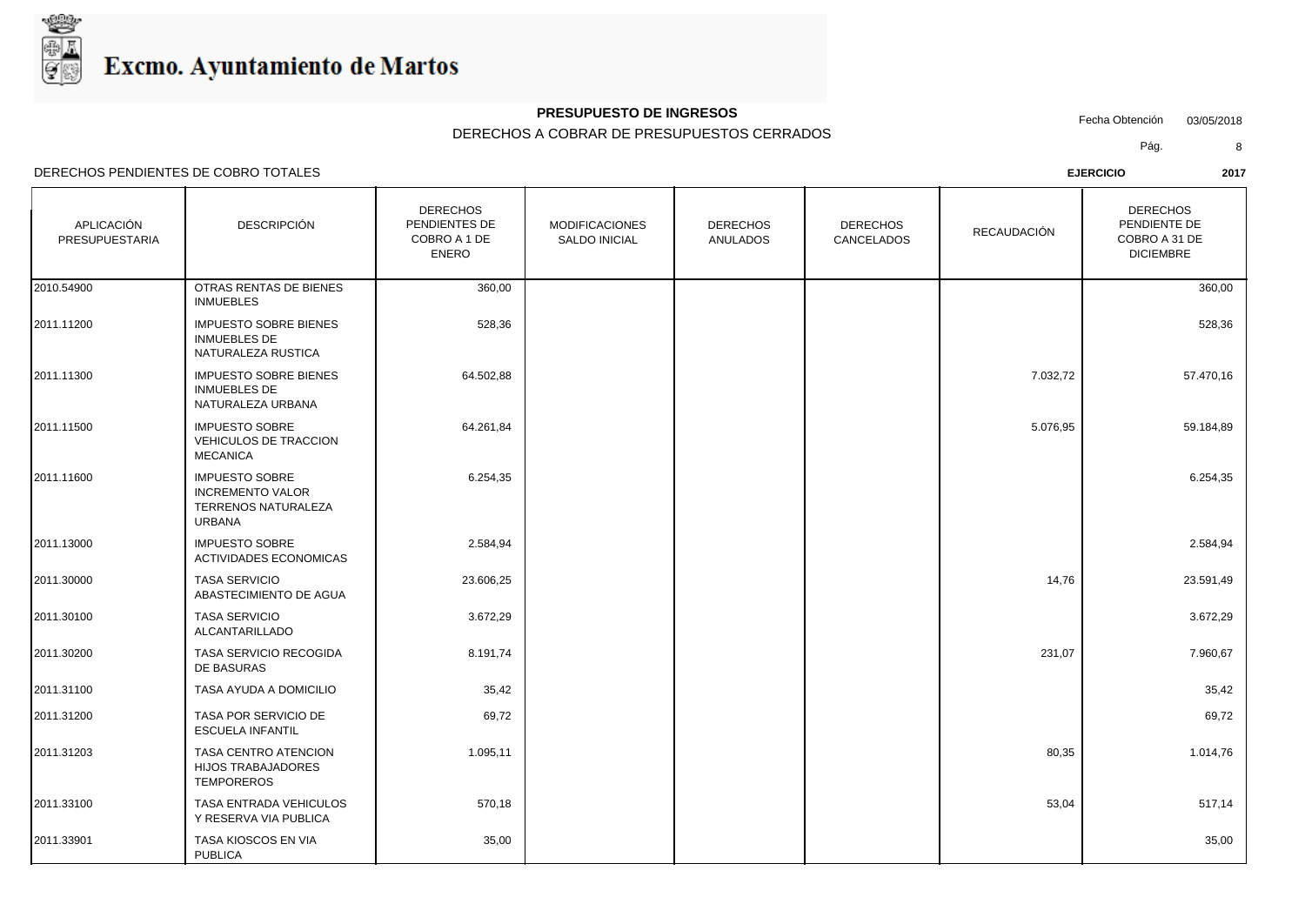

### **PRESUPUESTO DE INGRESOS**

### DERECHOS A COBRAR DE PRESUPUESTOS CERRADOS

Fecha Obtención 03/05/2018

**I** 

Pág. 8

DERECHOS PENDIENTES DE COBRO TOTALES **EJERCICIO 2017**

| APLICACIÓN<br>PRESUPUESTARIA | DESCRIPCIÓN                                                                              | <b>DERECHOS</b><br>PENDIENTES DE<br>COBRO A 1 DE<br>ENERO | <b>MODIFICACIONES</b><br><b>SALDO INICIAL</b> | <b>DERECHOS</b><br>ANULADOS | <b>DERECHOS</b><br>CANCELADOS | RECAUDACIÓN | <b>DERECHOS</b><br>PENDIENTE DE<br>COBRO A 31 DE<br><b>DICIEMBRE</b> |  |
|------------------------------|------------------------------------------------------------------------------------------|-----------------------------------------------------------|-----------------------------------------------|-----------------------------|-------------------------------|-------------|----------------------------------------------------------------------|--|
| 2010.54900                   | OTRAS RENTAS DE BIENES<br><b>INMUEBLES</b>                                               | 360,00                                                    |                                               |                             |                               |             | 360,00                                                               |  |
| 2011.11200                   | <b>IMPUESTO SOBRE BIENES</b><br><b>INMUEBLES DE</b><br>NATURALEZA RUSTICA                | 528,36                                                    |                                               |                             |                               |             | 528,36                                                               |  |
| 2011.11300                   | <b>IMPUESTO SOBRE BIENES</b><br><b>INMUEBLES DE</b><br>NATURALEZA URBANA                 | 64.502,88                                                 |                                               |                             |                               | 7.032,72    | 57.470,16                                                            |  |
| 2011.11500                   | <b>IMPUESTO SOBRE</b><br><b>VEHICULOS DE TRACCION</b><br><b>MECANICA</b>                 | 64.261,84                                                 |                                               |                             |                               | 5.076,95    | 59.184,89                                                            |  |
| 2011.11600                   | <b>IMPUESTO SOBRE</b><br><b>INCREMENTO VALOR</b><br><b>TERRENOS NATURALEZA</b><br>URBANA | 6.254,35                                                  |                                               |                             |                               |             | 6.254,35                                                             |  |
| 2011.13000                   | <b>IMPUESTO SOBRE</b><br>ACTIVIDADES ECONOMICAS                                          | 2.584,94                                                  |                                               |                             |                               |             | 2.584,94                                                             |  |
| 2011.30000                   | <b>TASA SERVICIO</b><br>ABASTECIMIENTO DE AGUA                                           | 23.606,25                                                 |                                               |                             |                               | 14,76       | 23.591,49                                                            |  |
| 2011.30100                   | <b>TASA SERVICIO</b><br>ALCANTARILLADO                                                   | 3.672,29                                                  |                                               |                             |                               |             | 3.672,29                                                             |  |
|                              |                                                                                          |                                                           |                                               |                             |                               |             |                                                                      |  |

|            | ALCANTARILLADO                                           |          |  |        |          |  |
|------------|----------------------------------------------------------|----------|--|--------|----------|--|
| 2011.30200 | TASA SERVICIO RECOGIDA<br>DE BASURAS                     | 8.191,74 |  | 231,07 | 7.960,67 |  |
| 2011.31100 | TASA AYUDA A DOMICILIO                                   | 35,42    |  |        | 35,42    |  |
| 2011.31200 | TASA POR SERVICIO DE<br><b>ESCUELA INFANTIL</b>          | 69,72    |  |        | 69,72    |  |
| 2011.31203 | TASA CENTRO ATENCION<br>HIJOS TRABAJADORES<br>TEMPOREROS | 1.095,11 |  | 80,35  | 1.014,76 |  |
| 2011.33100 | TASA ENTRADA VEHICULOS<br>Y RESERVA VIA PUBLICA          | 570,18   |  | 53,04  | 517,14   |  |
| 2011.33901 | TASA KIOSCOS EN VIA<br><b>PUBLICA</b>                    | 35,00    |  |        | 35,00    |  |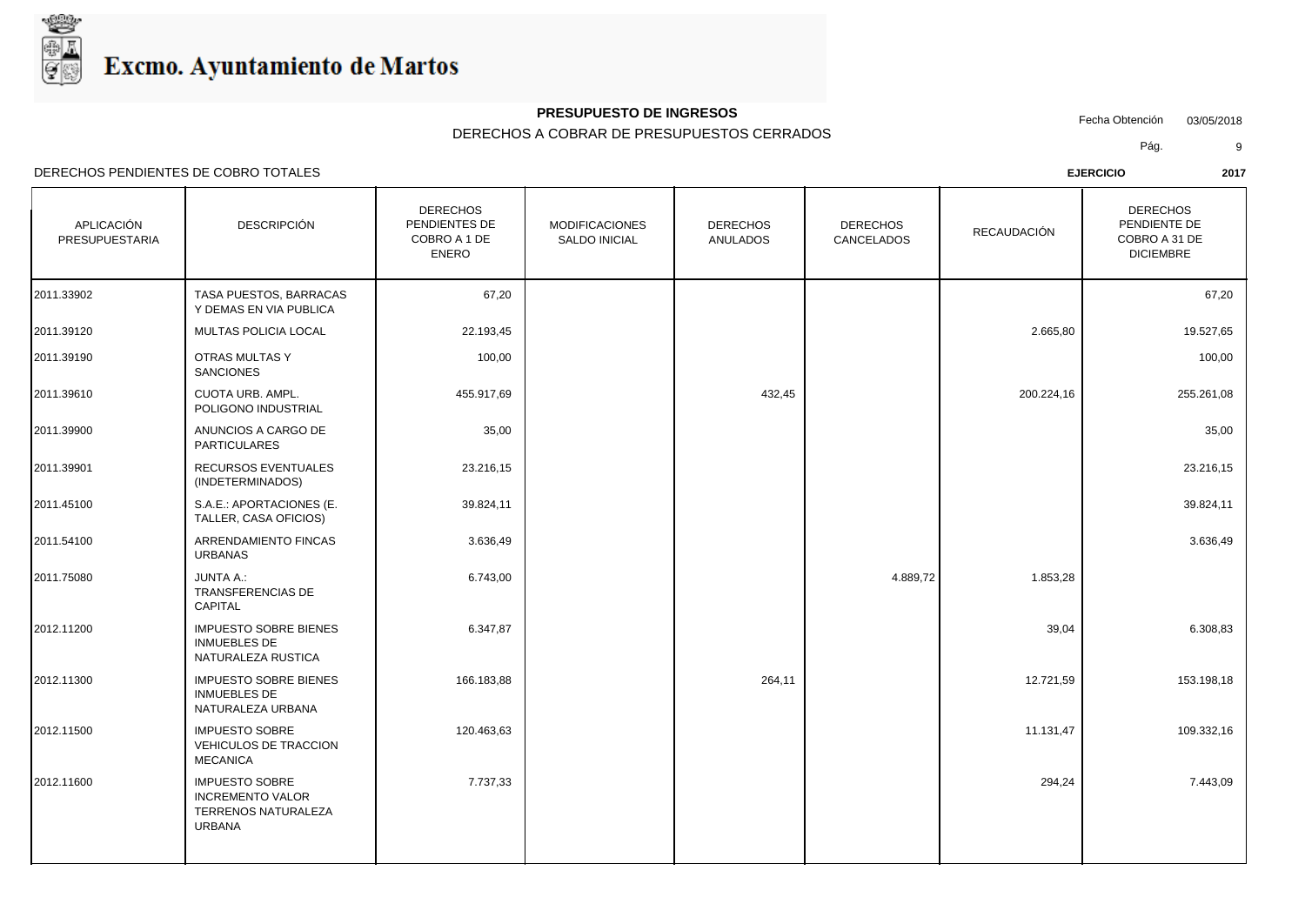

## **PRESUPUESTO DE INGRESOS**

DERECHOS A COBRAR DE PRESUPUESTOS CERRADOS

Fecha Obtención 03/05/2018

Pág. 9

| APLICACIÓN<br>PRESUPUESTARIA | <b>DESCRIPCIÓN</b>                                                                       | <b>DERECHOS</b><br>PENDIENTES DE<br>COBRO A 1 DE<br><b>ENERO</b> | <b>MODIFICACIONES</b><br><b>SALDO INICIAL</b> | <b>DERECHOS</b><br>ANULADOS | <b>DERECHOS</b><br>CANCELADOS | RECAUDACIÓN | <b>DERECHOS</b><br>PENDIENTE DE<br>COBRO A 31 DE<br><b>DICIEMBRE</b> |
|------------------------------|------------------------------------------------------------------------------------------|------------------------------------------------------------------|-----------------------------------------------|-----------------------------|-------------------------------|-------------|----------------------------------------------------------------------|
| 2011.33902                   | TASA PUESTOS, BARRACAS<br>Y DEMAS EN VIA PUBLICA                                         | 67,20                                                            |                                               |                             |                               |             | 67,20                                                                |
| 2011.39120                   | MULTAS POLICIA LOCAL                                                                     | 22.193,45                                                        |                                               |                             |                               | 2.665,80    | 19.527,65                                                            |
| 2011.39190                   | OTRAS MULTAS Y<br><b>SANCIONES</b>                                                       | 100,00                                                           |                                               |                             |                               |             | 100,00                                                               |
| 2011.39610                   | <b>CUOTA URB. AMPL.</b><br>POLIGONO INDUSTRIAL                                           | 455.917,69                                                       |                                               | 432,45                      |                               | 200.224,16  | 255.261,08                                                           |
| 2011.39900                   | ANUNCIOS A CARGO DE<br><b>PARTICULARES</b>                                               | 35,00                                                            |                                               |                             |                               |             | 35,00                                                                |
| 2011.39901                   | RECURSOS EVENTUALES<br>(INDETERMINADOS)                                                  | 23.216,15                                                        |                                               |                             |                               |             | 23.216,15                                                            |
| 2011.45100                   | S.A.E.: APORTACIONES (E.<br>TALLER, CASA OFICIOS)                                        | 39.824,11                                                        |                                               |                             |                               |             | 39.824,11                                                            |
| 2011.54100                   | ARRENDAMIENTO FINCAS<br><b>URBANAS</b>                                                   | 3.636,49                                                         |                                               |                             |                               |             | 3.636,49                                                             |
| 2011.75080                   | <b>JUNTA A.:</b><br>TRANSFERENCIAS DE<br>CAPITAL                                         | 6.743,00                                                         |                                               |                             | 4.889,72                      | 1.853,28    |                                                                      |
| 2012.11200                   | <b>IMPUESTO SOBRE BIENES</b><br><b>INMUEBLES DE</b><br>NATURALEZA RUSTICA                | 6.347,87                                                         |                                               |                             |                               | 39,04       | 6.308,83                                                             |
| 2012.11300                   | <b>IMPUESTO SOBRE BIENES</b><br><b>INMUEBLES DE</b><br>NATURALEZA URBANA                 | 166.183,88                                                       |                                               | 264,11                      |                               | 12.721,59   | 153.198,18                                                           |
| 2012.11500                   | <b>IMPUESTO SOBRE</b><br>VEHICULOS DE TRACCION<br><b>MECANICA</b>                        | 120.463,63                                                       |                                               |                             |                               | 11.131,47   | 109.332,16                                                           |
| 2012.11600                   | <b>IMPUESTO SOBRE</b><br><b>INCREMENTO VALOR</b><br>TERRENOS NATURALEZA<br><b>URBANA</b> | 7.737,33                                                         |                                               |                             |                               | 294,24      | 7.443,09                                                             |
|                              |                                                                                          |                                                                  |                                               |                             |                               |             |                                                                      |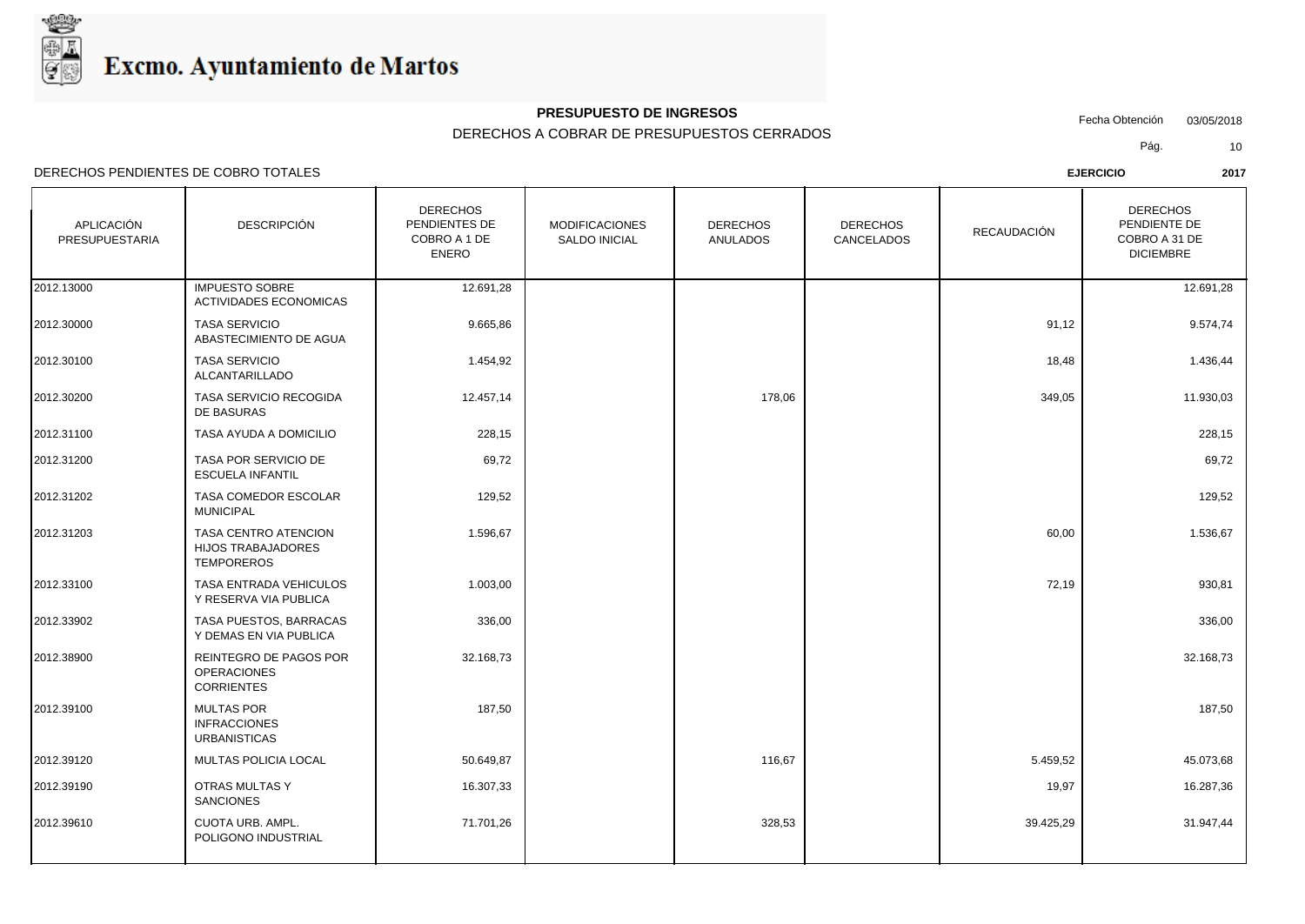

#### **PRESUPUESTO DE INGRESOS**

#### DERECHOS A COBRAR DE PRESUPUESTOS CERRADOS

Fecha Obtención 03/05/2018

Pág. 10

DERECHOS PENDIENTES DE COBRO TOTALES **EJERCICIO 2017**

| APLICACIÓN<br>PRESUPUESTARIA | DESCRIPCIÓN                                                     | <b>DERECHOS</b><br>PENDIENTES DE<br>COBRO A 1 DE<br>ENERO | <b>MODIFICACIONES</b><br><b>SALDO INICIAL</b> | <b>DERECHOS</b><br>ANULADOS | <b>DERECHOS</b><br>CANCELADOS | RECAUDACIÓN | <b>DERECHOS</b><br>PENDIENTE DE<br>COBRO A 31 DE<br><b>DICIEMBRE</b> |  |
|------------------------------|-----------------------------------------------------------------|-----------------------------------------------------------|-----------------------------------------------|-----------------------------|-------------------------------|-------------|----------------------------------------------------------------------|--|
| 2012.13000                   | <b>IMPUESTO SOBRE</b><br>ACTIVIDADES ECONOMICAS                 | 12.691,28                                                 |                                               |                             |                               |             | 12.691,28                                                            |  |
| 2012.30000                   | <b>TASA SERVICIO</b><br>ABASTECIMIENTO DE AGUA                  | 9.665,86                                                  |                                               |                             |                               | 91,12       | 9.574,74                                                             |  |
| 2012.30100                   | <b>TASA SERVICIO</b><br>ALCANTARILLADO                          | 1.454,92                                                  |                                               |                             |                               | 18,48       | 1.436,44                                                             |  |
| 2012.30200                   | <b>TASA SERVICIO RECOGIDA</b><br>DE BASURAS                     | 12.457,14                                                 |                                               | 178,06                      |                               | 349,05      | 11.930,03                                                            |  |
| 2012.31100                   | TASA AYUDA A DOMICILIO                                          | 228,15                                                    |                                               |                             |                               |             | 228,15                                                               |  |
| 2012.31200                   | <b>TASA POR SERVICIO DE</b><br><b>ESCUELA INFANTIL</b>          | 69,72                                                     |                                               |                             |                               |             | 69,72                                                                |  |
| 2012.31202                   | TASA COMEDOR ESCOLAR<br>MUNICIPAL                               | 129,52                                                    |                                               |                             |                               |             | 129,52                                                               |  |
| 2012.31203                   | TASA CENTRO ATENCION<br>HIJOS TRABAJADORES<br><b>TEMPODEPOS</b> | 1.596,67                                                  |                                               |                             |                               | 60,00       | 1.536,67                                                             |  |

|            | DE BASURAS                                                                    |           |        |           |           |  |
|------------|-------------------------------------------------------------------------------|-----------|--------|-----------|-----------|--|
| 2012.31100 | TASA AYUDA A DOMICILIO                                                        | 228,15    |        |           | 228,15    |  |
| 2012.31200 | TASA POR SERVICIO DE<br><b>ESCUELA INFANTIL</b>                               | 69,72     |        |           | 69,72     |  |
| 2012.31202 | TASA COMEDOR ESCOLAR<br><b>MUNICIPAL</b>                                      | 129,52    |        |           | 129,52    |  |
| 2012.31203 | <b>TASA CENTRO ATENCION</b><br><b>HIJOS TRABAJADORES</b><br><b>TEMPOREROS</b> | 1.596,67  |        | 60,00     | 1.536,67  |  |
| 2012.33100 | <b>TASA ENTRADA VEHICULOS</b><br>Y RESERVA VIA PUBLICA                        | 1.003,00  |        | 72,19     | 930,81    |  |
| 2012.33902 | TASA PUESTOS, BARRACAS<br>Y DEMAS EN VIA PUBLICA                              | 336,00    |        |           | 336,00    |  |
| 2012.38900 | REINTEGRO DE PAGOS POR<br><b>OPERACIONES</b><br><b>CORRIENTES</b>             | 32.168,73 |        |           | 32.168,73 |  |
| 2012.39100 | <b>MULTAS POR</b><br><b>INFRACCIONES</b><br><b>URBANISTICAS</b>               | 187,50    |        |           | 187,50    |  |
| 2012.39120 | MULTAS POLICIA LOCAL                                                          | 50.649,87 | 116,67 | 5.459,52  | 45.073,68 |  |
| 2012.39190 | <b>OTRAS MULTAS Y</b><br>SANCIONES                                            | 16.307,33 |        | 19,97     | 16.287,36 |  |
| 2012.39610 | CUOTA URB. AMPL.<br>POLIGONO INDUSTRIAL                                       | 71.701,26 | 328,53 | 39.425,29 | 31.947,44 |  |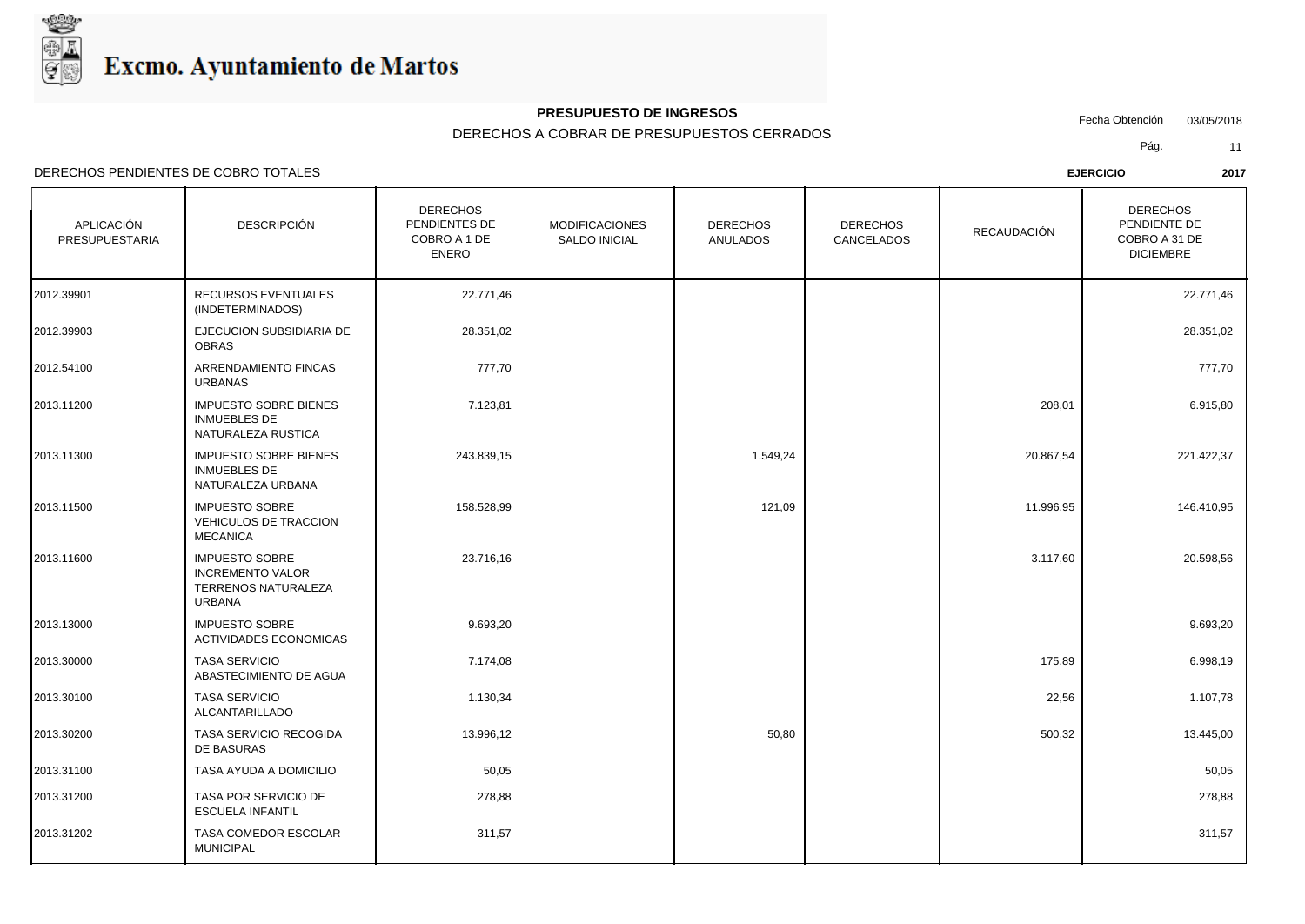

## **PRESUPUESTO DE INGRESOS**

DERECHOS A COBRAR DE PRESUPUESTOS CERRADOS

Fecha Obtención 03/05/2018

Pág. 11

| APLICACIÓN<br>PRESUPUESTARIA | <b>DESCRIPCIÓN</b>                                                                       | <b>DERECHOS</b><br>PENDIENTES DE<br>COBRO A 1 DE<br><b>ENERO</b> | <b>MODIFICACIONES</b><br><b>SALDO INICIAL</b> | <b>DERECHOS</b><br>ANULADOS | <b>DERECHOS</b><br>CANCELADOS | <b>RECAUDACIÓN</b> | <b>DERECHOS</b><br>PENDIENTE DE<br>COBRO A 31 DE<br><b>DICIEMBRE</b> |
|------------------------------|------------------------------------------------------------------------------------------|------------------------------------------------------------------|-----------------------------------------------|-----------------------------|-------------------------------|--------------------|----------------------------------------------------------------------|
| 2012.39901                   | RECURSOS EVENTUALES<br>(INDETERMINADOS)                                                  | 22.771,46                                                        |                                               |                             |                               |                    | 22.771,46                                                            |
| 2012.39903                   | EJECUCION SUBSIDIARIA DE<br><b>OBRAS</b>                                                 | 28.351,02                                                        |                                               |                             |                               |                    | 28.351,02                                                            |
| 2012.54100                   | ARRENDAMIENTO FINCAS<br><b>URBANAS</b>                                                   | 777,70                                                           |                                               |                             |                               |                    | 777,70                                                               |
| 2013.11200                   | <b>IMPUESTO SOBRE BIENES</b><br><b>INMUEBLES DE</b><br>NATURALEZA RUSTICA                | 7.123,81                                                         |                                               |                             |                               | 208,01             | 6.915,80                                                             |
| 2013.11300                   | <b>IMPUESTO SOBRE BIENES</b><br><b>INMUEBLES DE</b><br>NATURALEZA URBANA                 | 243.839,15                                                       |                                               | 1.549,24                    |                               | 20.867,54          | 221.422,37                                                           |
| 2013.11500                   | <b>IMPUESTO SOBRE</b><br>VEHICULOS DE TRACCION<br><b>MECANICA</b>                        | 158.528,99                                                       |                                               | 121,09                      |                               | 11.996,95          | 146.410,95                                                           |
| 2013.11600                   | <b>IMPUESTO SOBRE</b><br><b>INCREMENTO VALOR</b><br>TERRENOS NATURALEZA<br><b>URBANA</b> | 23.716,16                                                        |                                               |                             |                               | 3.117,60           | 20.598,56                                                            |
| 2013.13000                   | <b>IMPUESTO SOBRE</b><br><b>ACTIVIDADES ECONOMICAS</b>                                   | 9.693,20                                                         |                                               |                             |                               |                    | 9.693,20                                                             |
| 2013.30000                   | <b>TASA SERVICIO</b><br>ABASTECIMIENTO DE AGUA                                           | 7.174,08                                                         |                                               |                             |                               | 175,89             | 6.998,19                                                             |
| 2013.30100                   | <b>TASA SERVICIO</b><br>ALCANTARILLADO                                                   | 1.130,34                                                         |                                               |                             |                               | 22,56              | 1.107,78                                                             |
| 2013.30200                   | TASA SERVICIO RECOGIDA<br>DE BASURAS                                                     | 13.996,12                                                        |                                               | 50,80                       |                               | 500,32             | 13.445,00                                                            |
| 2013.31100                   | TASA AYUDA A DOMICILIO                                                                   | 50,05                                                            |                                               |                             |                               |                    | 50,05                                                                |
| 2013.31200                   | TASA POR SERVICIO DE<br><b>ESCUELA INFANTIL</b>                                          | 278,88                                                           |                                               |                             |                               |                    | 278,88                                                               |
| 2013.31202                   | TASA COMEDOR ESCOLAR<br><b>MUNICIPAL</b>                                                 | 311,57                                                           |                                               |                             |                               |                    | 311,57                                                               |
|                              |                                                                                          |                                                                  |                                               |                             |                               |                    |                                                                      |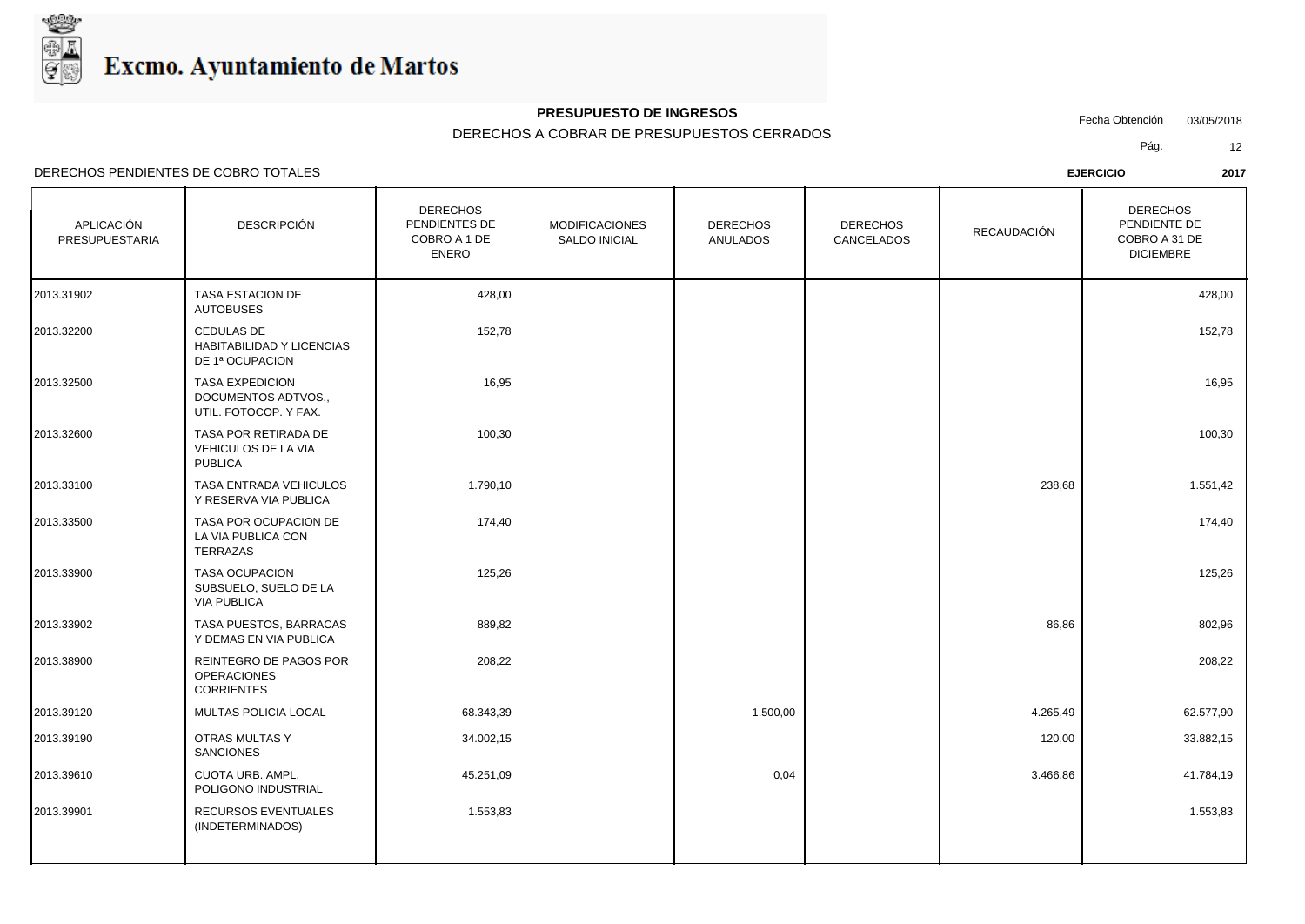

## **PRESUPUESTO DE INGRESOS**

DERECHOS A COBRAR DE PRESUPUESTOS CERRADOS

Fecha Obtención 03/05/2018

DERECHOS PENDIENTES DE COBRO TOTALES **EJERCICIO 2017**

Pág. 12

| APLICACIÓN<br>PRESUPUESTARIA | <b>DESCRIPCIÓN</b>                                                     | <b>DERECHOS</b><br>PENDIENTES DE<br>COBRO A 1 DE<br><b>ENERO</b> | <b>MODIFICACIONES</b><br>SALDO INICIAL | <b>DERECHOS</b><br>ANULADOS | <b>DERECHOS</b><br>CANCELADOS | RECAUDACIÓN | <b>DERECHOS</b><br>PENDIENTE DE<br>COBRO A 31 DE<br><b>DICIEMBRE</b> |
|------------------------------|------------------------------------------------------------------------|------------------------------------------------------------------|----------------------------------------|-----------------------------|-------------------------------|-------------|----------------------------------------------------------------------|
| 2013.31902                   | <b>TASA ESTACION DE</b><br><b>AUTOBUSES</b>                            | 428,00                                                           |                                        |                             |                               |             | 428,00                                                               |
| 2013.32200                   | CEDULAS DE<br>HABITABILIDAD Y LICENCIAS<br>DE 1ª OCUPACION             | 152,78                                                           |                                        |                             |                               |             | 152,78                                                               |
| 2013.32500                   | <b>TASA EXPEDICION</b><br>DOCUMENTOS ADTVOS.,<br>UTIL. FOTOCOP. Y FAX. | 16,95                                                            |                                        |                             |                               |             | 16,95                                                                |
| 2013.32600                   | TASA POR RETIRADA DE<br>VEHICULOS DE LA VIA<br><b>PUBLICA</b>          | 100,30                                                           |                                        |                             |                               |             | 100,30                                                               |
| 2013.33100                   | TASA ENTRADA VEHICULOS<br>Y RESERVA VIA PUBLICA                        | 1.790,10                                                         |                                        |                             |                               | 238,68      | 1.551,42                                                             |
| 2013.33500                   | TASA POR OCUPACION DE<br>LA VIA PUBLICA CON<br>TERRAZAS                | 174,40                                                           |                                        |                             |                               |             | 174,40                                                               |
| 2013.33900                   | <b>TASA OCUPACION</b><br>SUBSUELO, SUELO DE LA<br><b>VIA PUBLICA</b>   | 125,26                                                           |                                        |                             |                               |             | 125,26                                                               |
| 2013.33902                   | TASA PUESTOS, BARRACAS<br>Y DEMAS EN VIA PUBLICA                       | 889,82                                                           |                                        |                             |                               | 86,86       | 802,96                                                               |
| 2013.38900                   | REINTEGRO DE PAGOS POR<br><b>OPERACIONES</b><br><b>CORRIENTES</b>      | 208,22                                                           |                                        |                             |                               |             | 208,22                                                               |
| 2013.39120                   | MULTAS POLICIA LOCAL                                                   | 68.343,39                                                        |                                        | 1.500,00                    |                               | 4.265,49    | 62.577,90                                                            |
| 2013.39190                   | OTRAS MULTAS Y<br><b>SANCIONES</b>                                     | 34.002,15                                                        |                                        |                             |                               | 120,00      | 33.882,15                                                            |
| 2013.39610                   | CUOTA URB. AMPL.<br>POLIGONO INDUSTRIAL                                | 45.251,09                                                        |                                        | 0,04                        |                               | 3.466,86    | 41.784,19                                                            |
| 2013.39901                   | RECURSOS EVENTUALES<br>(INDETERMINADOS)                                | 1.553,83                                                         |                                        |                             |                               |             | 1.553,83                                                             |
|                              |                                                                        |                                                                  |                                        |                             |                               |             |                                                                      |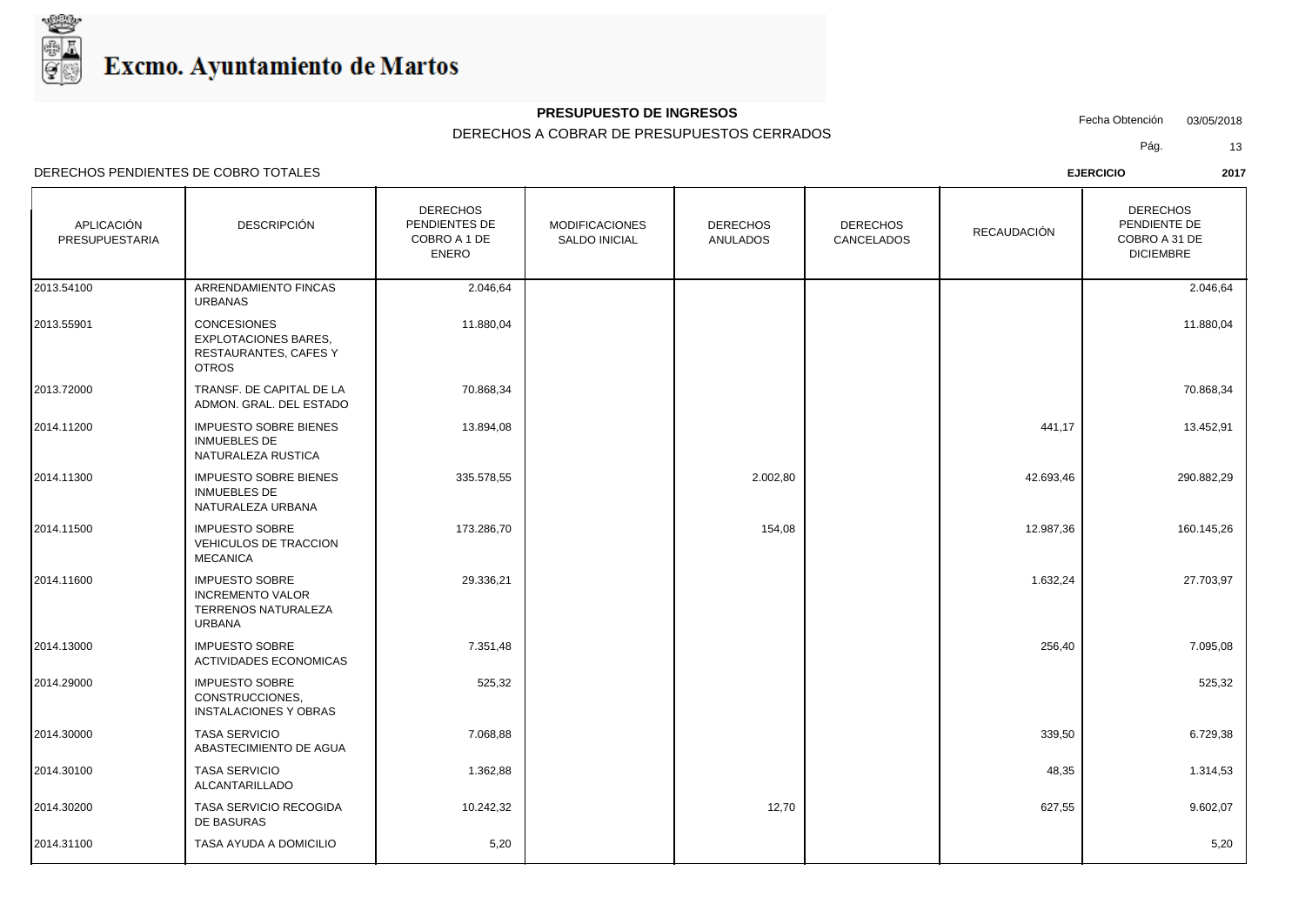

## **PRESUPUESTO DE INGRESOS**

DERECHOS A COBRAR DE PRESUPUESTOS CERRADOS

Fecha Obtención 03/05/2018

DERECHOS PENDIENTES DE COBRO TOTALES **EJERCICIO 2017**

Pág. 13

| APLICACIÓN<br>PRESUPUESTARIA | <b>DESCRIPCIÓN</b>                                                                              | <b>DERECHOS</b><br>PENDIENTES DE<br>COBRO A 1 DE<br><b>ENERO</b> | <b>MODIFICACIONES</b><br>SALDO INICIAL | <b>DERECHOS</b><br><b>ANULADOS</b> | <b>DERECHOS</b><br>CANCELADOS | <b>RECAUDACIÓN</b> | <b>DERECHOS</b><br>PENDIENTE DE<br>COBRO A 31 DE<br><b>DICIEMBRE</b> |  |
|------------------------------|-------------------------------------------------------------------------------------------------|------------------------------------------------------------------|----------------------------------------|------------------------------------|-------------------------------|--------------------|----------------------------------------------------------------------|--|
| 2013.54100                   | ARRENDAMIENTO FINCAS<br><b>URBANAS</b>                                                          | 2.046,64                                                         |                                        |                                    |                               |                    | 2.046,64                                                             |  |
| 2013.55901                   | <b>CONCESIONES</b><br><b>EXPLOTACIONES BARES,</b><br>RESTAURANTES, CAFES Y<br><b>OTROS</b>      | 11.880,04                                                        |                                        |                                    |                               |                    | 11.880,04                                                            |  |
| 2013.72000                   | TRANSF. DE CAPITAL DE LA<br>ADMON. GRAL. DEL ESTADO                                             | 70.868,34                                                        |                                        |                                    |                               |                    | 70.868,34                                                            |  |
| 2014.11200                   | <b>IMPUESTO SOBRE BIENES</b><br><b>INMUEBLES DE</b><br>NATURALEZA RUSTICA                       | 13.894,08                                                        |                                        |                                    |                               | 441,17             | 13.452,91                                                            |  |
| 2014.11300                   | <b>IMPUESTO SOBRE BIENES</b><br><b>INMUEBLES DE</b><br>NATURALEZA URBANA                        | 335.578,55                                                       |                                        | 2.002,80                           |                               | 42.693,46          | 290.882,29                                                           |  |
| 2014.11500                   | <b>IMPUESTO SOBRE</b><br>VEHICULOS DE TRACCION<br><b>MECANICA</b>                               | 173.286,70                                                       |                                        | 154,08                             |                               | 12.987,36          | 160.145,26                                                           |  |
| 2014.11600                   | <b>IMPUESTO SOBRE</b><br><b>INCREMENTO VALOR</b><br><b>TERRENOS NATURALEZA</b><br><b>URBANA</b> | 29.336,21                                                        |                                        |                                    |                               | 1.632,24           | 27.703,97                                                            |  |
| 2014.13000                   | <b>IMPUESTO SOBRE</b><br><b>ACTIVIDADES ECONOMICAS</b>                                          | 7.351,48                                                         |                                        |                                    |                               | 256,40             | 7.095,08                                                             |  |
| 2014.29000                   | <b>IMPUESTO SOBRE</b><br>CONSTRUCCIONES,<br><b>INSTALACIONES Y OBRAS</b>                        | 525,32                                                           |                                        |                                    |                               |                    | 525,32                                                               |  |
| 2014.30000                   | <b>TASA SERVICIO</b><br>ABASTECIMIENTO DE AGUA                                                  | 7.068,88                                                         |                                        |                                    |                               | 339,50             | 6.729,38                                                             |  |
| 2014.30100                   | <b>TASA SERVICIO</b><br>ALCANTARILLADO                                                          | 1.362,88                                                         |                                        |                                    |                               | 48,35              | 1.314,53                                                             |  |
| 2014.30200                   | TASA SERVICIO RECOGIDA<br>DE BASURAS                                                            | 10.242,32                                                        |                                        | 12,70                              |                               | 627,55             | 9.602,07                                                             |  |
| 2014.31100                   | TASA AYUDA A DOMICILIO                                                                          | 5,20                                                             |                                        |                                    |                               |                    | 5,20                                                                 |  |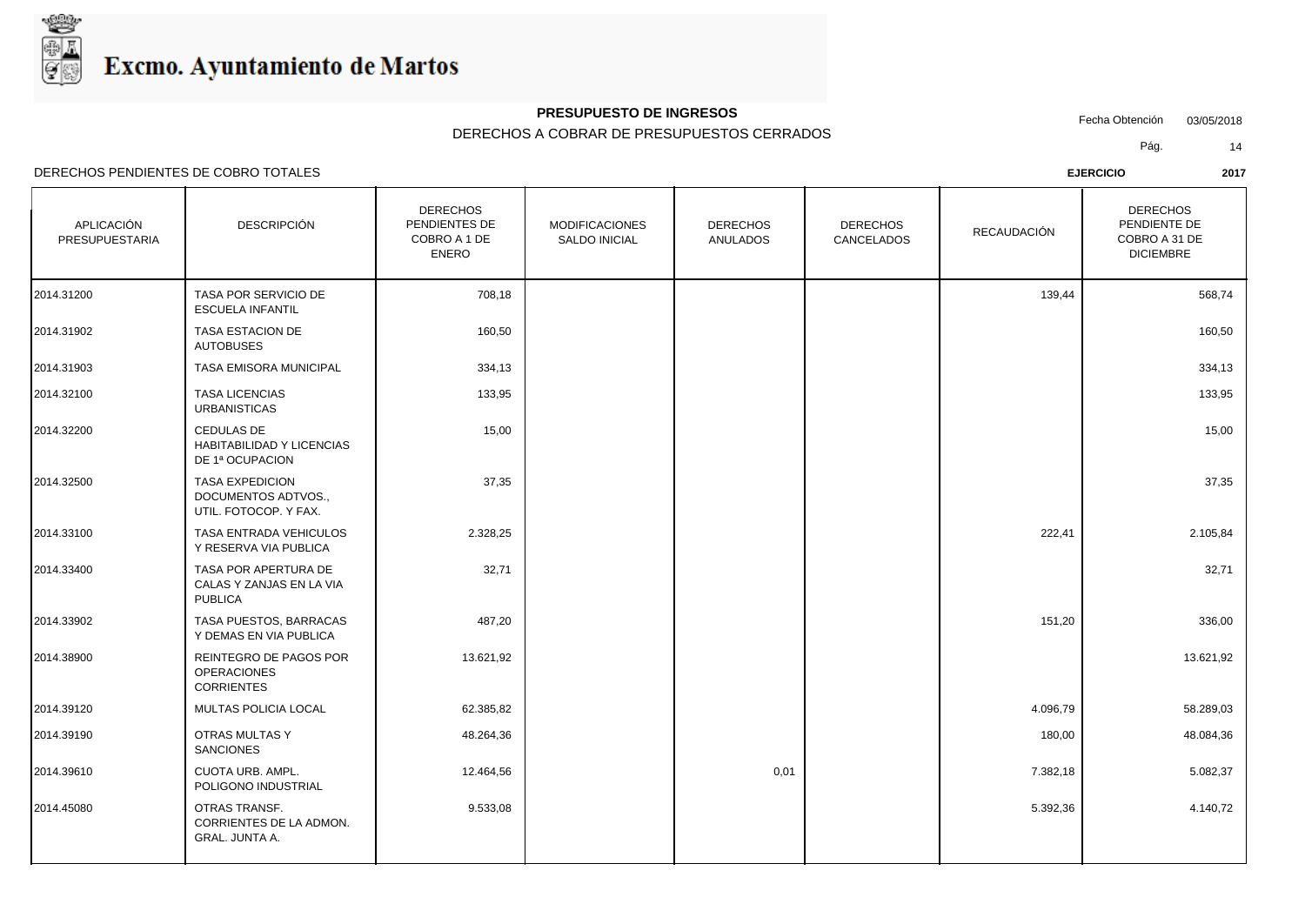

## **PRESUPUESTO DE INGRESOS**

### DERECHOS A COBRAR DE PRESUPUESTOS CERRADOS

Fecha Obtención 03/05/2018

Pág. 14

DERECHOS PENDIENTES DE COBRO TOTALES **EJERCICIO 2017**

DERECHOS

| APLICACIÓN<br>PRESUPUESTARIA | <b>DESCRIPCIÓN</b>                                                     | <b>DERECHOS</b><br>PENDIENTES DE<br>COBRO A 1 DE<br><b>ENERO</b> | <b>MODIFICACIONES</b><br><b>SALDO INICIAL</b> | <b>DERECHOS</b><br>ANULADOS | <b>DERECHOS</b><br>CANCELADOS | RECAUDACIÓN | <b>DERECHOS</b><br>PENDIENTE DE<br>COBRO A 31 DE<br><b>DICIEMBRE</b> |
|------------------------------|------------------------------------------------------------------------|------------------------------------------------------------------|-----------------------------------------------|-----------------------------|-------------------------------|-------------|----------------------------------------------------------------------|
| 2014.31200                   | TASA POR SERVICIO DE<br><b>ESCUELA INFANTIL</b>                        | 708,18                                                           |                                               |                             |                               | 139,44      | 568,74                                                               |
| 2014.31902                   | <b>TASA ESTACION DE</b><br><b>AUTOBUSES</b>                            | 160,50                                                           |                                               |                             |                               |             | 160,50                                                               |
| 2014.31903                   | TASA EMISORA MUNICIPAL                                                 | 334,13                                                           |                                               |                             |                               |             | 334,13                                                               |
| 2014.32100                   | <b>TASA LICENCIAS</b><br><b>URBANISTICAS</b>                           | 133,95                                                           |                                               |                             |                               |             | 133,95                                                               |
| 2014.32200                   | CEDULAS DE<br>HABITABILIDAD Y LICENCIAS<br>DE 1ª OCUPACION             | 15,00                                                            |                                               |                             |                               |             | 15,00                                                                |
| 2014.32500                   | <b>TASA EXPEDICION</b><br>DOCUMENTOS ADTVOS.,<br>UTIL. FOTOCOP. Y FAX. | 37,35                                                            |                                               |                             |                               |             | 37,35                                                                |
| 2014.33100                   | TASA ENTRADA VEHICULOS<br>Y RESERVA VIA PUBLICA                        | 2.328,25                                                         |                                               |                             |                               | 222,41      | 2.105,84                                                             |
| 2014.33400                   | TASA POR APERTURA DE<br>CALAS Y ZANJAS EN LA VIA<br><b>PUBLICA</b>     | 32,71                                                            |                                               |                             |                               |             | 32,71                                                                |
| 2014.33902                   | TASA PUESTOS, BARRACAS<br>Y DEMAS EN VIA PUBLICA                       | 487,20                                                           |                                               |                             |                               | 151,20      | 336,00                                                               |
| 2014.38900                   | REINTEGRO DE PAGOS POR<br><b>OPERACIONES</b><br><b>CORRIENTES</b>      | 13.621,92                                                        |                                               |                             |                               |             | 13.621,92                                                            |
| 2014.39120                   | <b>MULTAS POLICIA LOCAL</b>                                            | 62.385,82                                                        |                                               |                             |                               | 4.096,79    | 58.289,03                                                            |
| 2014.39190                   | OTRAS MULTAS Y<br><b>SANCIONES</b>                                     | 48.264,36                                                        |                                               |                             |                               | 180,00      | 48.084,36                                                            |
| 2014.39610                   | CUOTA URB. AMPL.<br>POLIGONO INDUSTRIAL                                | 12.464,56                                                        |                                               | 0,01                        |                               | 7.382,18    | 5.082,37                                                             |
| 2014.45080                   | OTRAS TRANSF.<br>CORRIENTES DE LA ADMON.<br><b>GRAL. JUNTA A.</b>      | 9.533,08                                                         |                                               |                             |                               | 5.392,36    | 4.140,72                                                             |
|                              |                                                                        |                                                                  |                                               |                             |                               |             |                                                                      |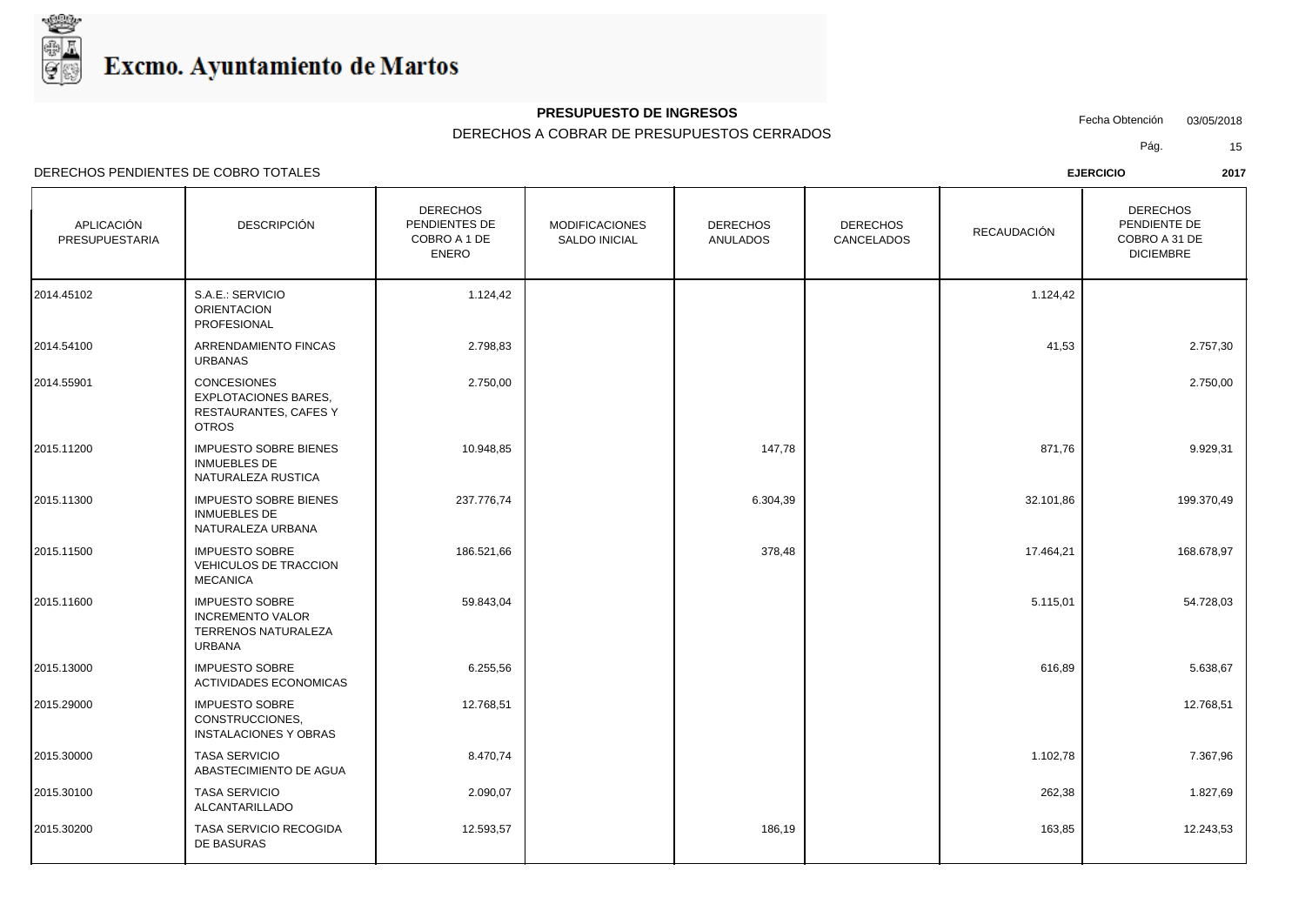

## **PRESUPUESTO DE INGRESOS**

DERECHOS A COBRAR DE PRESUPUESTOS CERRADOS

Fecha Obtención 03/05/2018

DERECHOS PENDIENTES DE COBRO TOTALES **EJERCICIO 2017**

Pág. 15

| APLICACIÓN<br>PRESUPUESTARIA | <b>DESCRIPCIÓN</b>                                                                         | <b>DERECHOS</b><br>PENDIENTES DE<br>COBRO A 1 DE<br><b>ENERO</b> | <b>MODIFICACIONES</b><br><b>SALDO INICIAL</b> | <b>DERECHOS</b><br><b>ANULADOS</b> | <b>DERECHOS</b><br>CANCELADOS | RECAUDACIÓN | <b>DERECHOS</b><br>PENDIENTE DE<br>COBRO A 31 DE<br><b>DICIEMBRE</b> |
|------------------------------|--------------------------------------------------------------------------------------------|------------------------------------------------------------------|-----------------------------------------------|------------------------------------|-------------------------------|-------------|----------------------------------------------------------------------|
| 2014.45102                   | S.A.E.: SERVICIO<br><b>ORIENTACION</b><br>PROFESIONAL                                      | 1.124,42                                                         |                                               |                                    |                               | 1.124,42    |                                                                      |
| 2014.54100                   | ARRENDAMIENTO FINCAS<br><b>URBANAS</b>                                                     | 2.798,83                                                         |                                               |                                    |                               | 41,53       | 2.757,30                                                             |
| 2014.55901                   | <b>CONCESIONES</b><br><b>EXPLOTACIONES BARES.</b><br>RESTAURANTES, CAFES Y<br><b>OTROS</b> | 2.750,00                                                         |                                               |                                    |                               |             | 2.750,00                                                             |
| 2015.11200                   | <b>IMPUESTO SOBRE BIENES</b><br><b>INMUEBLES DE</b><br>NATURALEZA RUSTICA                  | 10.948,85                                                        |                                               | 147,78                             |                               | 871,76      | 9.929,31                                                             |
| 2015.11300                   | <b>IMPUESTO SOBRE BIENES</b><br><b>INMUEBLES DE</b><br>NATURALEZA URBANA                   | 237.776,74                                                       |                                               | 6.304,39                           |                               | 32.101,86   | 199.370,49                                                           |
| 2015.11500                   | <b>IMPUESTO SOBRE</b><br>VEHICULOS DE TRACCION<br><b>MECANICA</b>                          | 186.521,66                                                       |                                               | 378,48                             |                               | 17.464,21   | 168.678,97                                                           |
| 2015.11600                   | <b>IMPUESTO SOBRE</b><br><b>INCREMENTO VALOR</b><br>TERRENOS NATURALEZA<br><b>URBANA</b>   | 59.843,04                                                        |                                               |                                    |                               | 5.115,01    | 54.728,03                                                            |
| 2015.13000                   | <b>IMPUESTO SOBRE</b><br><b>ACTIVIDADES ECONOMICAS</b>                                     | 6.255,56                                                         |                                               |                                    |                               | 616,89      | 5.638,67                                                             |
| 2015.29000                   | <b>IMPUESTO SOBRE</b><br>CONSTRUCCIONES.<br><b>INSTALACIONES Y OBRAS</b>                   | 12.768,51                                                        |                                               |                                    |                               |             | 12.768,51                                                            |
| 2015.30000                   | <b>TASA SERVICIO</b><br>ABASTECIMIENTO DE AGUA                                             | 8.470,74                                                         |                                               |                                    |                               | 1.102,78    | 7.367,96                                                             |
| 2015.30100                   | <b>TASA SERVICIO</b><br>ALCANTARILLADO                                                     | 2.090,07                                                         |                                               |                                    |                               | 262,38      | 1.827,69                                                             |
| 2015.30200                   | TASA SERVICIO RECOGIDA<br>DE BASURAS                                                       | 12.593,57                                                        |                                               | 186,19                             |                               | 163,85      | 12.243,53                                                            |
|                              |                                                                                            |                                                                  |                                               |                                    |                               |             |                                                                      |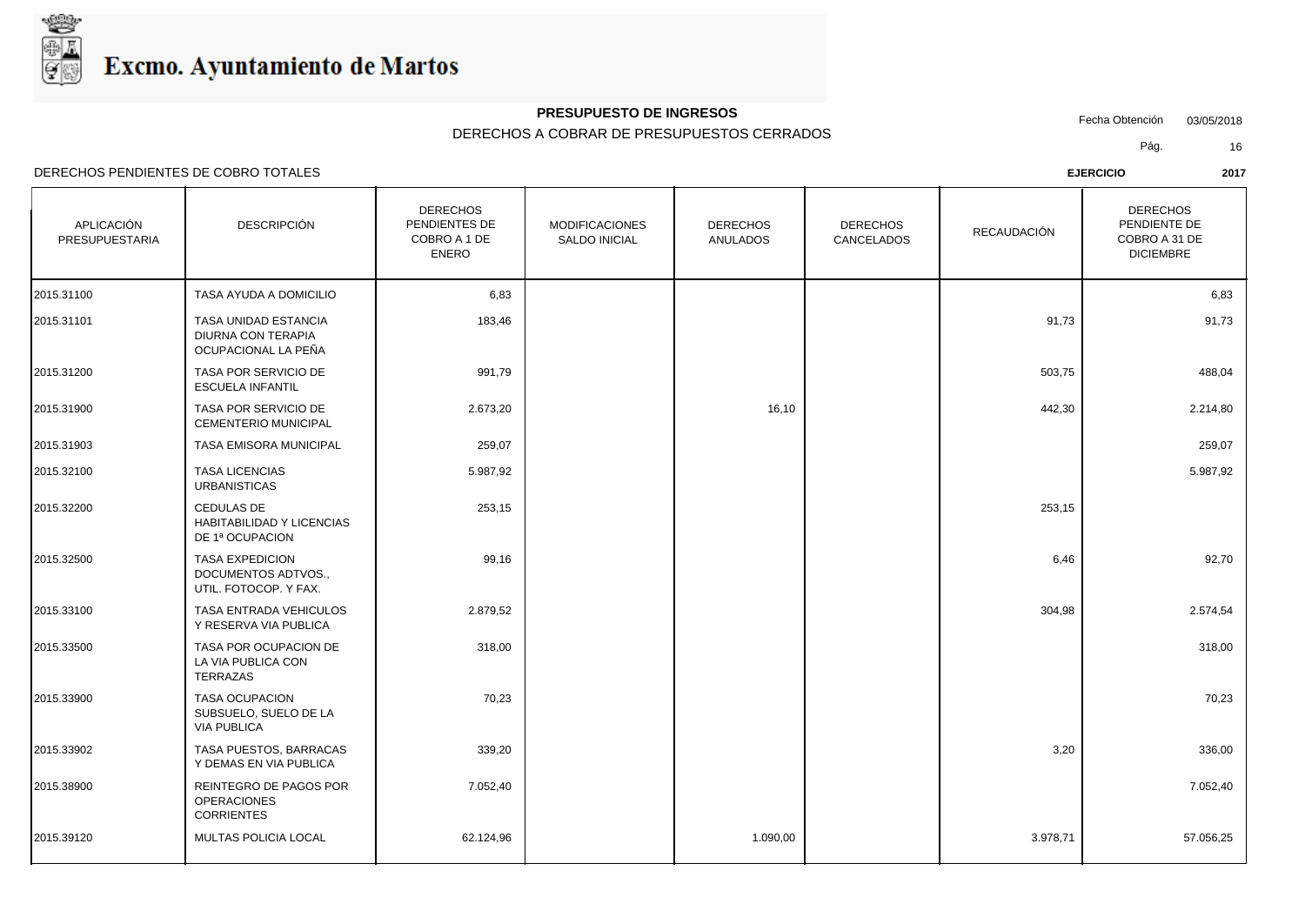

## **PRESUPUESTO DE INGRESOS**

DERECHOS A COBRAR DE PRESUPUESTOS CERRADOS

Fecha Obtención 03/05/2018

Pág. 16

| APLICACIÓN<br>PRESUPUESTARIA | <b>DESCRIPCIÓN</b>                                                     | <b>DERECHOS</b><br>PENDIENTES DE<br>COBRO A 1 DE<br><b>ENERO</b> | <b>MODIFICACIONES</b><br><b>SALDO INICIAL</b> | <b>DERECHOS</b><br><b>ANULADOS</b> | <b>DERECHOS</b><br>CANCELADOS | <b>RECAUDACIÓN</b> | <b>DERECHOS</b><br>PENDIENTE DE<br>COBRO A 31 DE<br><b>DICIEMBRE</b> |
|------------------------------|------------------------------------------------------------------------|------------------------------------------------------------------|-----------------------------------------------|------------------------------------|-------------------------------|--------------------|----------------------------------------------------------------------|
| 2015.31100                   | TASA AYUDA A DOMICILIO                                                 | 6,83                                                             |                                               |                                    |                               |                    | 6,83                                                                 |
| 2015.31101                   | TASA UNIDAD ESTANCIA<br>DIURNA CON TERAPIA<br>OCUPACIONAL LA PEÑA      | 183,46                                                           |                                               |                                    |                               | 91,73              | 91,73                                                                |
| 2015.31200                   | TASA POR SERVICIO DE<br><b>ESCUELA INFANTIL</b>                        | 991,79                                                           |                                               |                                    |                               | 503,75             | 488,04                                                               |
| 2015.31900                   | TASA POR SERVICIO DE<br><b>CEMENTERIO MUNICIPAL</b>                    | 2.673,20                                                         |                                               | 16,10                              |                               | 442,30             | 2.214,80                                                             |
| 2015.31903                   | TASA EMISORA MUNICIPAL                                                 | 259,07                                                           |                                               |                                    |                               |                    | 259,07                                                               |
| 2015.32100                   | <b>TASA LICENCIAS</b><br><b>URBANISTICAS</b>                           | 5.987,92                                                         |                                               |                                    |                               |                    | 5.987,92                                                             |
| 2015.32200                   | <b>CEDULAS DE</b><br>HABITABILIDAD Y LICENCIAS<br>DE 1ª OCUPACION      | 253,15                                                           |                                               |                                    |                               | 253,15             |                                                                      |
| 2015.32500                   | <b>TASA EXPEDICION</b><br>DOCUMENTOS ADTVOS.,<br>UTIL. FOTOCOP. Y FAX. | 99,16                                                            |                                               |                                    |                               | 6,46               | 92,70                                                                |
| 2015.33100                   | TASA ENTRADA VEHICULOS<br>Y RESERVA VIA PUBLICA                        | 2.879,52                                                         |                                               |                                    |                               | 304,98             | 2.574,54                                                             |
| 2015.33500                   | TASA POR OCUPACION DE<br>LA VIA PUBLICA CON<br>TERRAZAS                | 318,00                                                           |                                               |                                    |                               |                    | 318,00                                                               |
| 2015.33900                   | <b>TASA OCUPACION</b><br>SUBSUELO, SUELO DE LA<br><b>VIA PUBLICA</b>   | 70,23                                                            |                                               |                                    |                               |                    | 70,23                                                                |
| 2015.33902                   | TASA PUESTOS, BARRACAS<br>Y DEMAS EN VIA PUBLICA                       | 339,20                                                           |                                               |                                    |                               | 3,20               | 336,00                                                               |
| 2015.38900                   | REINTEGRO DE PAGOS POR<br><b>OPERACIONES</b><br><b>CORRIENTES</b>      | 7.052,40                                                         |                                               |                                    |                               |                    | 7.052,40                                                             |
| 2015.39120                   | <b>MULTAS POLICIA LOCAL</b>                                            | 62.124,96                                                        |                                               | 1.090,00                           |                               | 3.978,71           | 57.056,25                                                            |
|                              |                                                                        |                                                                  |                                               |                                    |                               |                    |                                                                      |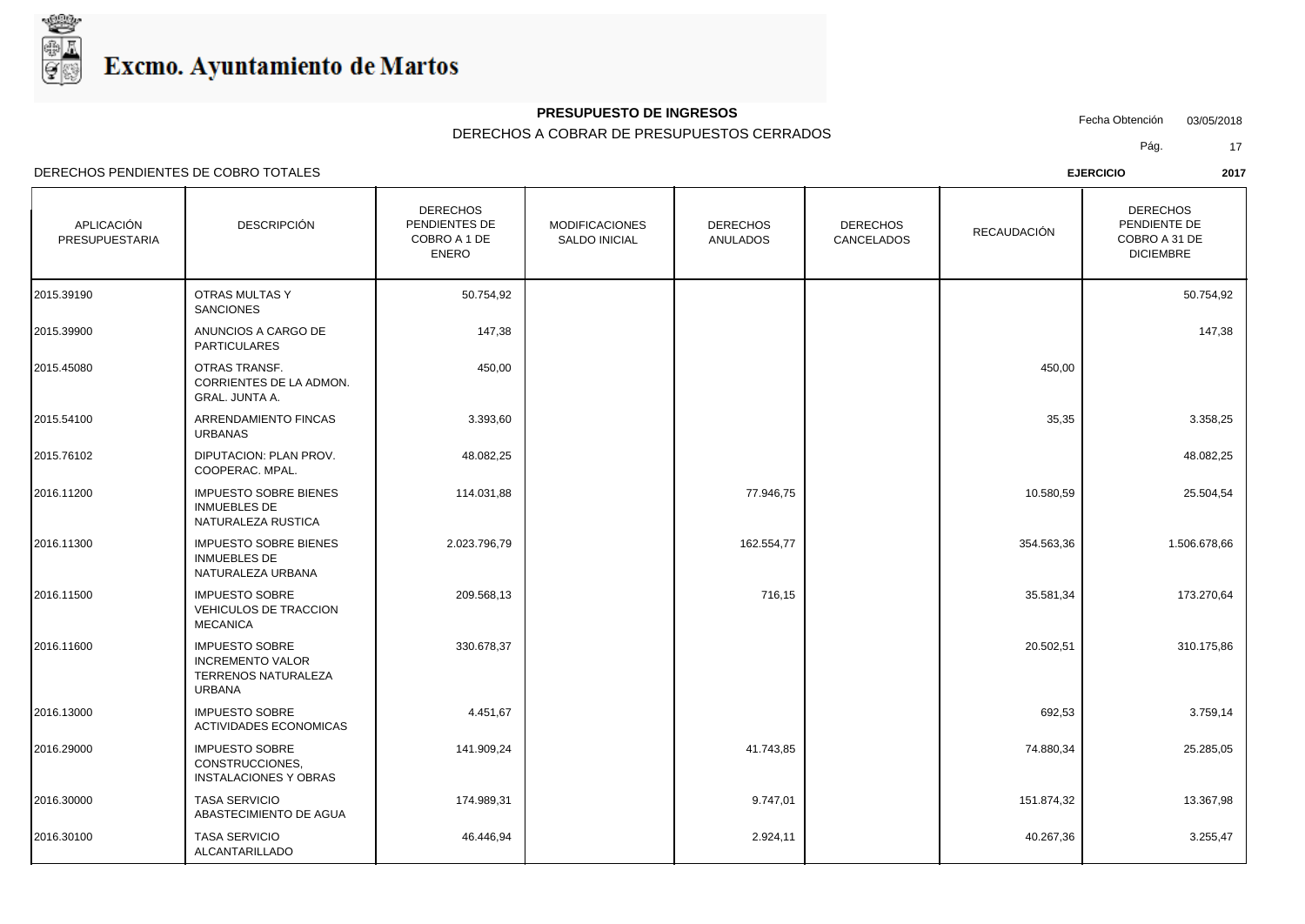

## **PRESUPUESTO DE INGRESOS**

DERECHOS A COBRAR DE PRESUPUESTOS CERRADOS

Fecha Obtención 03/05/2018

Pág. 17

| APLICACIÓN<br>PRESUPUESTARIA | <b>DESCRIPCIÓN</b>                                                                       | <b>DERECHOS</b><br>PENDIENTES DE<br>COBRO A 1 DE<br><b>ENERO</b> | <b>MODIFICACIONES</b><br>SALDO INICIAL | <b>DERECHOS</b><br><b>ANULADOS</b> | <b>DERECHOS</b><br>CANCELADOS | RECAUDACIÓN | <b>DERECHOS</b><br>PENDIENTE DE<br>COBRO A 31 DE<br><b>DICIEMBRE</b> |
|------------------------------|------------------------------------------------------------------------------------------|------------------------------------------------------------------|----------------------------------------|------------------------------------|-------------------------------|-------------|----------------------------------------------------------------------|
| 2015.39190                   | <b>OTRAS MULTAS Y</b><br><b>SANCIONES</b>                                                | 50.754,92                                                        |                                        |                                    |                               |             | 50.754,92                                                            |
| 2015.39900                   | ANUNCIOS A CARGO DE<br><b>PARTICULARES</b>                                               | 147,38                                                           |                                        |                                    |                               |             | 147,38                                                               |
| 2015.45080                   | OTRAS TRANSF.<br>CORRIENTES DE LA ADMON.<br><b>GRAL. JUNTA A.</b>                        | 450,00                                                           |                                        |                                    |                               | 450,00      |                                                                      |
| 2015.54100                   | ARRENDAMIENTO FINCAS<br><b>URBANAS</b>                                                   | 3.393,60                                                         |                                        |                                    |                               | 35,35       | 3.358,25                                                             |
| 2015.76102                   | DIPUTACION: PLAN PROV.<br>COOPERAC. MPAL.                                                | 48.082,25                                                        |                                        |                                    |                               |             | 48.082,25                                                            |
| 2016.11200                   | <b>IMPUESTO SOBRE BIENES</b><br><b>INMUEBLES DE</b><br>NATURALEZA RUSTICA                | 114.031,88                                                       |                                        | 77.946,75                          |                               | 10.580,59   | 25.504,54                                                            |
| 2016.11300                   | <b>IMPUESTO SOBRE BIENES</b><br><b>INMUEBLES DE</b><br>NATURALEZA URBANA                 | 2.023.796,79                                                     |                                        | 162.554,77                         |                               | 354.563,36  | 1.506.678,66                                                         |
| 2016.11500                   | <b>IMPUESTO SOBRE</b><br><b>VEHICULOS DE TRACCION</b><br><b>MECANICA</b>                 | 209.568,13                                                       |                                        | 716,15                             |                               | 35.581,34   | 173.270,64                                                           |
| 2016.11600                   | <b>IMPUESTO SOBRE</b><br><b>INCREMENTO VALOR</b><br>TERRENOS NATURALEZA<br><b>URBANA</b> | 330.678,37                                                       |                                        |                                    |                               | 20.502,51   | 310.175,86                                                           |
| 2016.13000                   | <b>IMPUESTO SOBRE</b><br>ACTIVIDADES ECONOMICAS                                          | 4.451,67                                                         |                                        |                                    |                               | 692,53      | 3.759,14                                                             |
| 2016.29000                   | <b>IMPUESTO SOBRE</b><br>CONSTRUCCIONES.<br><b>INSTALACIONES Y OBRAS</b>                 | 141.909,24                                                       |                                        | 41.743,85                          |                               | 74.880,34   | 25.285,05                                                            |
| 2016.30000                   | <b>TASA SERVICIO</b><br>ABASTECIMIENTO DE AGUA                                           | 174.989,31                                                       |                                        | 9.747,01                           |                               | 151.874,32  | 13.367,98                                                            |
| 2016.30100                   | <b>TASA SERVICIO</b><br>ALCANTARILLADO                                                   | 46.446,94                                                        |                                        | 2.924,11                           |                               | 40.267,36   | 3.255,47                                                             |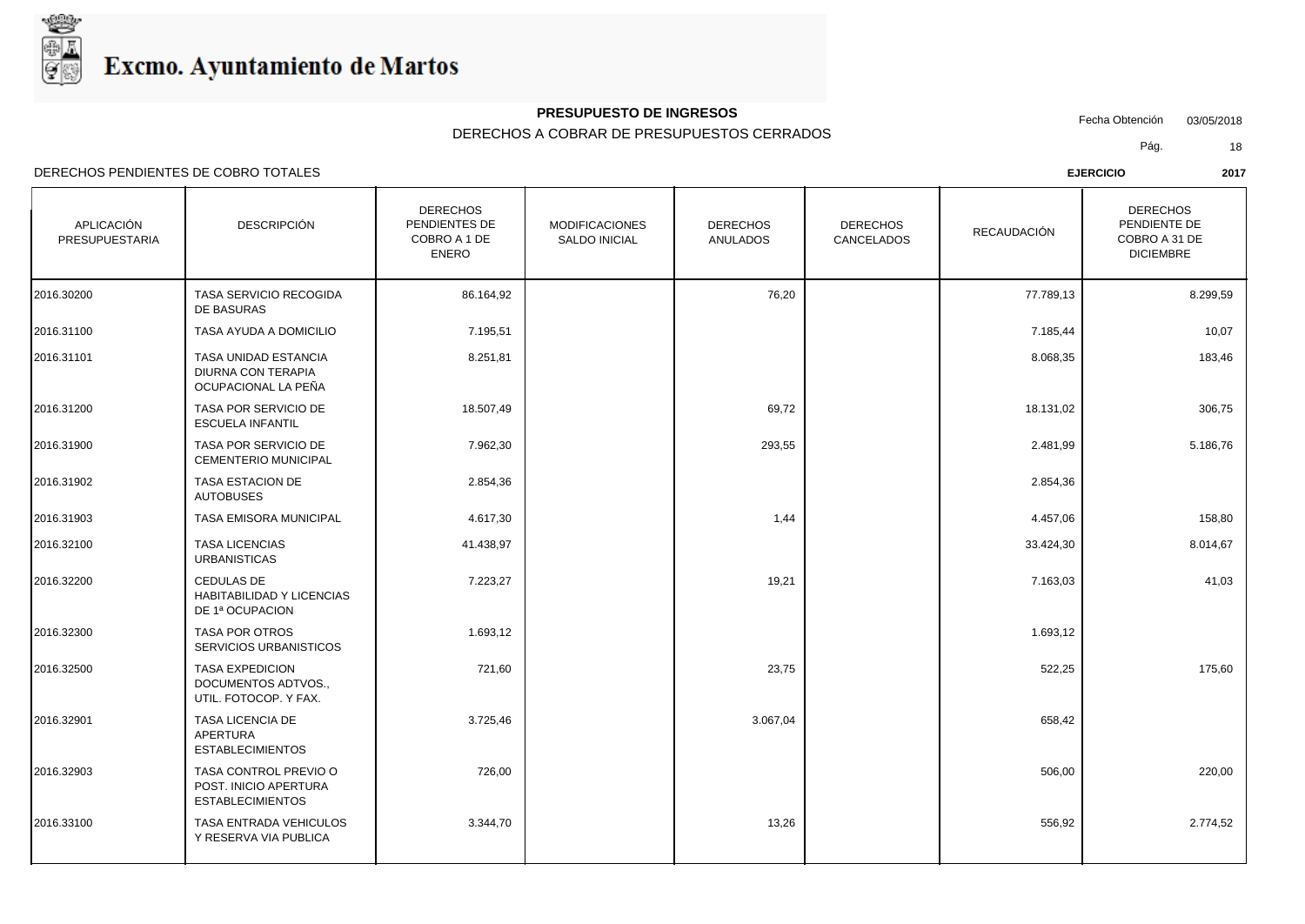

#### **PRESUPUESTO DE INGRESOS**

#### DERECHOS A COBRAR DE PRESUPUESTOS CERRADOS

Fecha Obtención 03/05/2018

Pág. 18

DERECHOS PENDIENTES DE COBRO TOTALES **EJERCICIO 2017**

APLICACIÓN PRESUPUESTARIA DESCRIPCIÓN **DESCRIPCIÓN DESCRIPCIÓN** SALDO INICIAL | ANULADOS DERECHOS PENDIENTES DE COBRO A 1 DE ENERO DERECHOS ANULADOS | CANCELADOS | RECAUDACIÓN | COBRO A 31 DE DERECHOS PENDIENTE DE DICIEMBRE DERECHOS DERECHOS RECAUDACIÓN 2016.30200 | TASA SERVICIO RECOGIDA | 86.164,92 | 76,20 | 77.789,13 | 8.299,59 | DE BASURAS 2016.31100 TASA AYUDA A DOMICILIO 7.195,51 7.185,44 10,07 TASA UNIDAD ESTANCIA  $\vert$  8.251.81 DIURNA CON TERAPIA OCUPACIONAL LA PEÑA 2016.31101 8.068,35 183,46 TASA POR SERVICIO DE  $\overline{18.507.49}$   $\overline{18.507.49}$   $\overline{18.507.49}$   $\overline{18.507.49}$   $\overline{18.507.49}$ ESCUELA INFANTIL 2016.31200 18.131,02 306,75 TASA POR SERVICIO DE 7.962,30 293,55 CEMENTERIO MUNICIPAL 2016.31900 2.481,99 5.186,76 TASA ESTACION DE 2.854,36 AUTOBUSES 2016.31902 2.854,36 2016.31903 TASA EMISORA MUNICIPAL 4.617,30 1,44 4.457,06 158,80 TASA LICENCIAS **11.438.97** URBANISTICAS 2016.32100 33.424,30 8.014,67 CEDULAS DE 7.223,27 19,21 HABITABILIDAD Y LICENCIAS DE 1ª OCUPACION 2016.32200 | CEDULAS DE | 7.223,27 | | 19,21 | 7.163,03 | 41,03 | TASA POR OTROS 1.693.12 SERVICIOS URBANISTICOS 2016.32300 1.693,12 1.693,12 1.69 TASA EXPEDICION 23,75 DOCUMENTOS ADTVOS., UTIL. FOTOCOP. Y FAX. 2016.32500 522,25 175,60 TASA LICENCIA DE 3.725,46 3.067,04 APERTURA ESTABLECIMIENTOS 2016.32901 658,42 TASA CONTROL PREVIO O 2000 726,00 POST. INICIO APERTURA ESTABLECIMIENTOS 2016.32903 506,00 220,00 2016.33100 | TASA ENTRADA VEHICULOS | 3.344,70 | 13,26 | 556,92 | 2.774,52 Y RESERVA VIA PUBLICA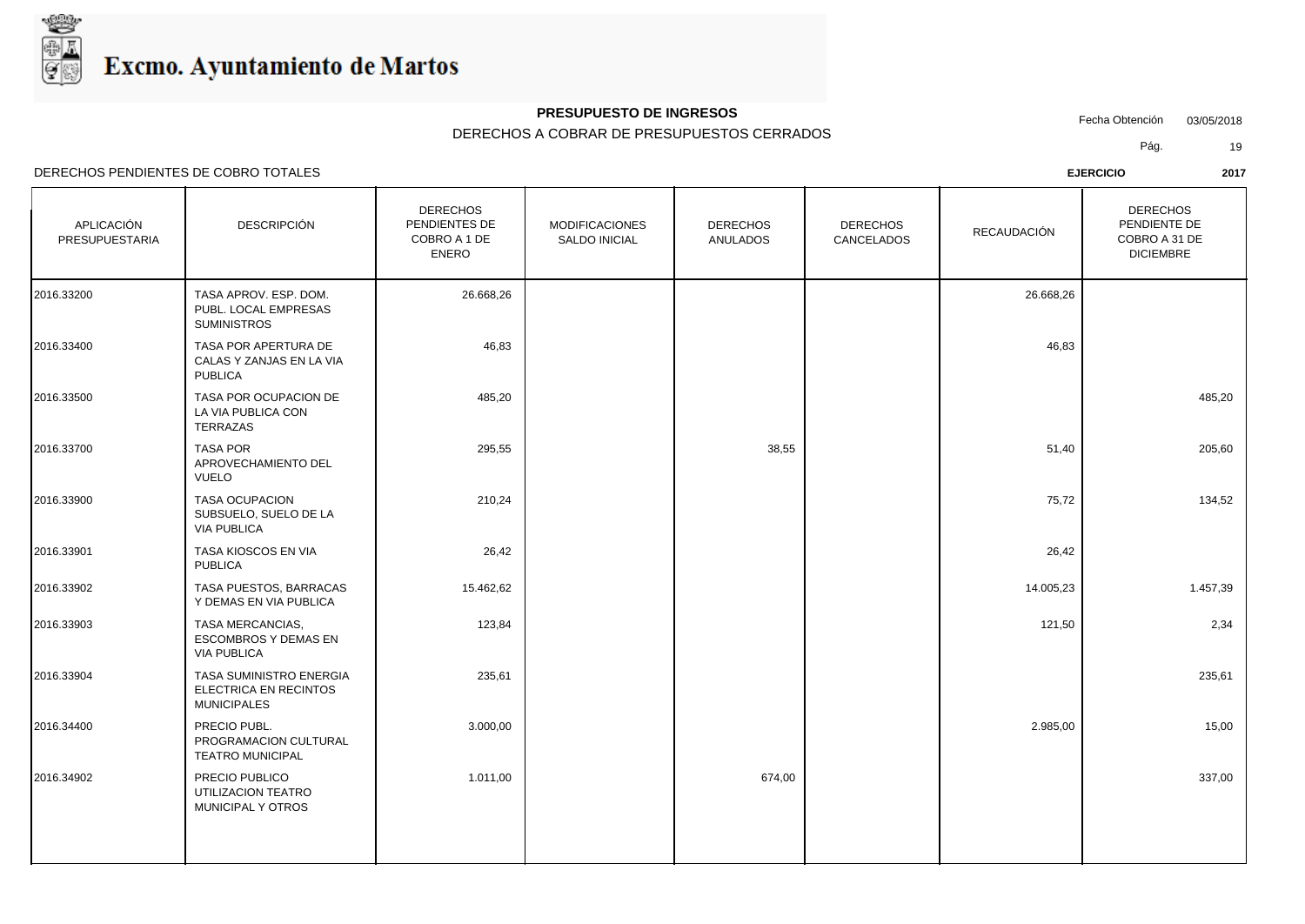

## **PRESUPUESTO DE INGRESOS**

### DERECHOS A COBRAR DE PRESUPUESTOS CERRADOS

Fecha Obtención 03/05/2018

Pág. 19

| APLICACIÓN<br>PRESUPUESTARIA | <b>DESCRIPCIÓN</b>                                                     | <b>DERECHOS</b><br>PENDIENTES DE<br>COBRO A 1 DE<br><b>ENERO</b> | <b>MODIFICACIONES</b><br><b>SALDO INICIAL</b> | <b>DERECHOS</b><br><b>ANULADOS</b> | <b>DERECHOS</b><br>CANCELADOS | <b>RECAUDACIÓN</b> | <b>DERECHOS</b><br>PENDIENTE DE<br>COBRO A 31 DE<br><b>DICIEMBRE</b> |  |
|------------------------------|------------------------------------------------------------------------|------------------------------------------------------------------|-----------------------------------------------|------------------------------------|-------------------------------|--------------------|----------------------------------------------------------------------|--|
| 2016.33200                   | TASA APROV. ESP. DOM.<br>PUBL. LOCAL EMPRESAS<br><b>SUMINISTROS</b>    | 26.668,26                                                        |                                               |                                    |                               | 26.668,26          |                                                                      |  |
| 2016.33400                   | TASA POR APERTURA DE<br>CALAS Y ZANJAS EN LA VIA<br><b>PUBLICA</b>     | 46,83                                                            |                                               |                                    |                               | 46,83              |                                                                      |  |
| 2016.33500                   | TASA POR OCUPACION DE<br>LA VIA PUBLICA CON<br>TERRAZAS                | 485,20                                                           |                                               |                                    |                               |                    | 485,20                                                               |  |
| 2016.33700                   | <b>TASA POR</b><br>APROVECHAMIENTO DEL<br><b>VUELO</b>                 | 295,55                                                           |                                               | 38,55                              |                               | 51,40              | 205,60                                                               |  |
| 2016.33900                   | <b>TASA OCUPACION</b><br>SUBSUELO, SUELO DE LA<br><b>VIA PUBLICA</b>   | 210,24                                                           |                                               |                                    |                               | 75,72              | 134,52                                                               |  |
| 2016.33901                   | TASA KIOSCOS EN VIA<br><b>PUBLICA</b>                                  | 26,42                                                            |                                               |                                    |                               | 26,42              |                                                                      |  |
| 2016.33902                   | TASA PUESTOS, BARRACAS<br>Y DEMAS EN VIA PUBLICA                       | 15.462,62                                                        |                                               |                                    |                               | 14.005,23          | 1.457,39                                                             |  |
| 2016.33903                   | TASA MERCANCIAS,<br><b>ESCOMBROS Y DEMAS EN</b><br><b>VIA PUBLICA</b>  | 123,84                                                           |                                               |                                    |                               | 121,50             | 2,34                                                                 |  |
| 2016.33904                   | TASA SUMINISTRO ENERGIA<br>ELECTRICA EN RECINTOS<br><b>MUNICIPALES</b> | 235,61                                                           |                                               |                                    |                               |                    | 235,61                                                               |  |
| 2016.34400                   | PRECIO PUBL.<br>PROGRAMACION CULTURAL<br><b>TEATRO MUNICIPAL</b>       | 3.000,00                                                         |                                               |                                    |                               | 2.985,00           | 15,00                                                                |  |
| 2016.34902                   | PRECIO PUBLICO<br>UTILIZACION TEATRO<br>MUNICIPAL Y OTROS              | 1.011,00                                                         |                                               | 674,00                             |                               |                    | 337,00                                                               |  |
|                              |                                                                        |                                                                  |                                               |                                    |                               |                    |                                                                      |  |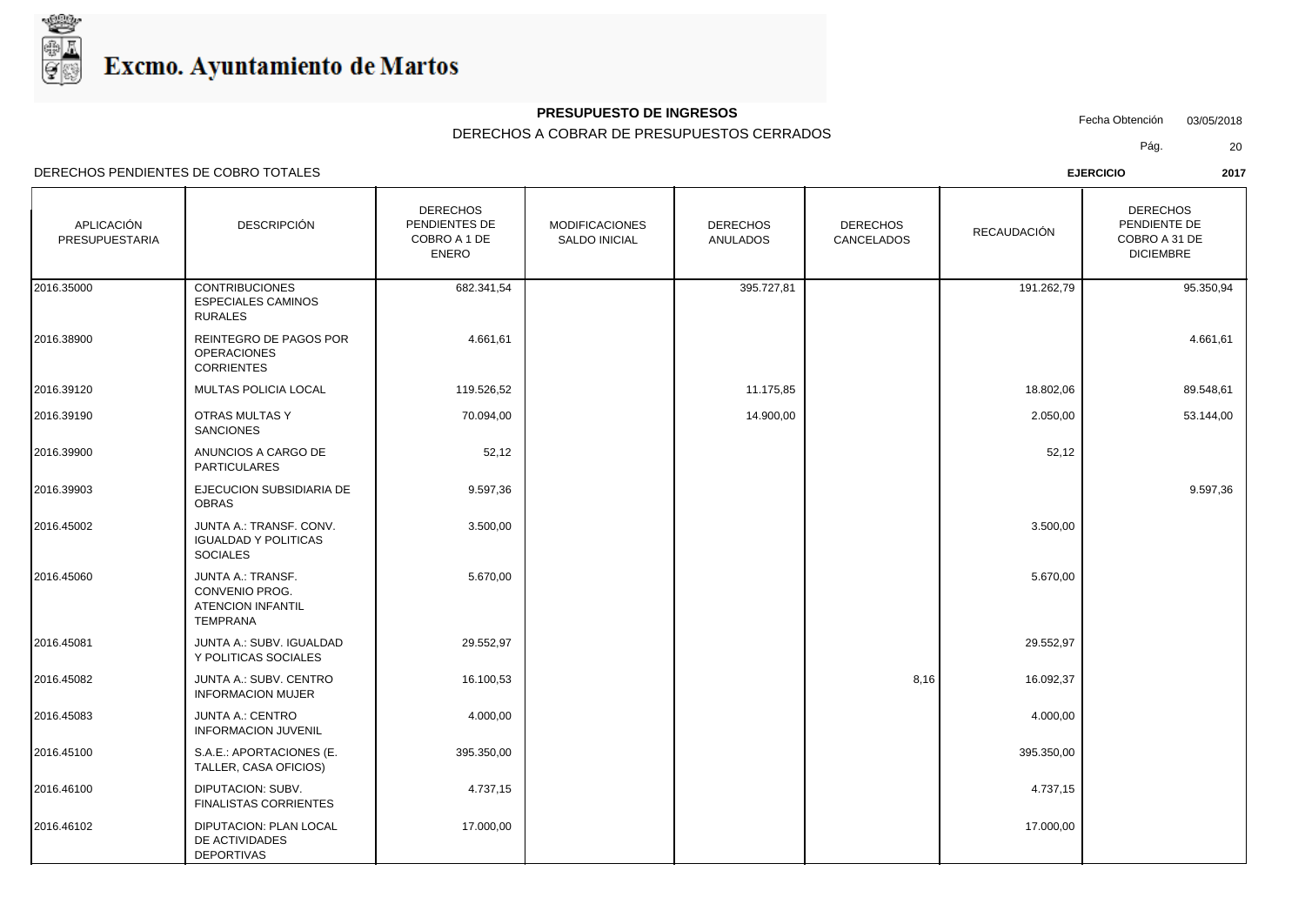

## **PRESUPUESTO DE INGRESOS**

### DERECHOS A COBRAR DE PRESUPUESTOS CERRADOS

Fecha Obtención 03/05/2018

Pág. 20

| APLICACIÓN<br><b>PRESUPUESTARIA</b> | <b>DESCRIPCIÓN</b>                                                                        | <b>DERECHOS</b><br>PENDIENTES DE<br>COBRO A 1 DE<br><b>ENERO</b> | <b>MODIFICACIONES</b><br><b>SALDO INICIAL</b> | <b>DERECHOS</b><br><b>ANULADOS</b> | <b>DERECHOS</b><br><b>CANCELADOS</b> | RECAUDACIÓN | <b>DERECHOS</b><br>PENDIENTE DE<br>COBRO A 31 DE<br><b>DICIEMBRE</b> |
|-------------------------------------|-------------------------------------------------------------------------------------------|------------------------------------------------------------------|-----------------------------------------------|------------------------------------|--------------------------------------|-------------|----------------------------------------------------------------------|
| 2016.35000                          | <b>CONTRIBUCIONES</b><br><b>ESPECIALES CAMINOS</b><br><b>RURALES</b>                      | 682.341,54                                                       |                                               | 395.727,81                         |                                      | 191.262,79  | 95.350,94                                                            |
| 2016.38900                          | REINTEGRO DE PAGOS POR<br><b>OPERACIONES</b><br><b>CORRIENTES</b>                         | 4.661,61                                                         |                                               |                                    |                                      |             | 4.661,61                                                             |
| 2016.39120                          | MULTAS POLICIA LOCAL                                                                      | 119.526,52                                                       |                                               | 11.175,85                          |                                      | 18.802,06   | 89.548,61                                                            |
| 2016.39190                          | OTRAS MULTAS Y<br><b>SANCIONES</b>                                                        | 70.094,00                                                        |                                               | 14.900,00                          |                                      | 2.050,00    | 53.144,00                                                            |
| 2016.39900                          | ANUNCIOS A CARGO DE<br>PARTICULARES                                                       | 52,12                                                            |                                               |                                    |                                      | 52,12       |                                                                      |
| 2016.39903                          | EJECUCION SUBSIDIARIA DE<br><b>OBRAS</b>                                                  | 9.597,36                                                         |                                               |                                    |                                      |             | 9.597,36                                                             |
| 2016.45002                          | JUNTA A.: TRANSF. CONV.<br><b>IGUALDAD Y POLITICAS</b><br><b>SOCIALES</b>                 | 3.500,00                                                         |                                               |                                    |                                      | 3.500,00    |                                                                      |
| 2016.45060                          | <b>JUNTA A.: TRANSF.</b><br>CONVENIO PROG.<br><b>ATENCION INFANTIL</b><br><b>TEMPRANA</b> | 5.670,00                                                         |                                               |                                    |                                      | 5.670,00    |                                                                      |
| 2016.45081                          | JUNTA A.: SUBV. IGUALDAD<br>Y POLITICAS SOCIALES                                          | 29.552,97                                                        |                                               |                                    |                                      | 29.552,97   |                                                                      |
| 2016.45082                          | JUNTA A.: SUBV. CENTRO<br><b>INFORMACION MUJER</b>                                        | 16.100,53                                                        |                                               |                                    | 8,16                                 | 16.092,37   |                                                                      |
| 2016.45083                          | <b>JUNTA A.: CENTRO</b><br><b>INFORMACION JUVENIL</b>                                     | 4.000,00                                                         |                                               |                                    |                                      | 4.000,00    |                                                                      |
| 2016.45100                          | S.A.E.: APORTACIONES (E.<br>TALLER, CASA OFICIOS)                                         | 395.350,00                                                       |                                               |                                    |                                      | 395.350,00  |                                                                      |
| 2016.46100                          | DIPUTACION: SUBV.<br><b>FINALISTAS CORRIENTES</b>                                         | 4.737,15                                                         |                                               |                                    |                                      | 4.737,15    |                                                                      |
| 2016.46102                          | DIPUTACION: PLAN LOCAL<br>DE ACTIVIDADES<br><b>DEPORTIVAS</b>                             | 17.000,00                                                        |                                               |                                    |                                      | 17.000,00   |                                                                      |